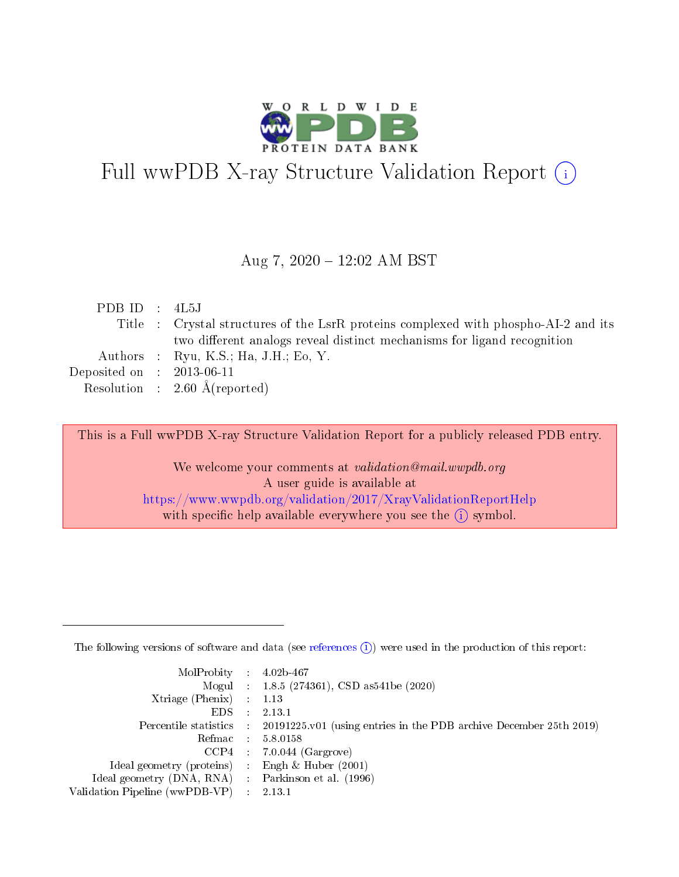

# Full wwPDB X-ray Structure Validation Report (i)

#### Aug 7, 2020 - 12:02 AM BST

| PDB ID : $4L5J$             |                                                                                     |
|-----------------------------|-------------------------------------------------------------------------------------|
|                             | Title : Crystal structures of the LsrR proteins complexed with phospho-AI-2 and its |
|                             | two different analogs reveal distinct mechanisms for ligand recognition             |
|                             | Authors : Ryu, K.S.; Ha, J.H.; Eo, Y.                                               |
| Deposited on : $2013-06-11$ |                                                                                     |
|                             | Resolution : $2.60 \text{ Å}$ (reported)                                            |
|                             |                                                                                     |

This is a Full wwPDB X-ray Structure Validation Report for a publicly released PDB entry.

We welcome your comments at validation@mail.wwpdb.org A user guide is available at <https://www.wwpdb.org/validation/2017/XrayValidationReportHelp> with specific help available everywhere you see the  $(i)$  symbol.

The following versions of software and data (see [references](https://www.wwpdb.org/validation/2017/XrayValidationReportHelp#references)  $(1)$ ) were used in the production of this report:

| $MolProbability$ : 4.02b-467                      |                             |                                                                                            |
|---------------------------------------------------|-----------------------------|--------------------------------------------------------------------------------------------|
|                                                   |                             | Mogul : $1.8.5$ (274361), CSD as 541be (2020)                                              |
| Xtriage (Phenix) $: 1.13$                         |                             |                                                                                            |
| EDS.                                              | $\mathcal{L}$               | 2.13.1                                                                                     |
|                                                   |                             | Percentile statistics : 20191225.v01 (using entries in the PDB archive December 25th 2019) |
| Refmac : 5.8.0158                                 |                             |                                                                                            |
|                                                   |                             | $CCP4$ 7.0.044 (Gargrove)                                                                  |
| Ideal geometry (proteins)                         | $\mathcal{L}_{\mathcal{L}}$ | Engh $\&$ Huber (2001)                                                                     |
| Ideal geometry (DNA, RNA) Parkinson et al. (1996) |                             |                                                                                            |
| Validation Pipeline (wwPDB-VP) : 2.13.1           |                             |                                                                                            |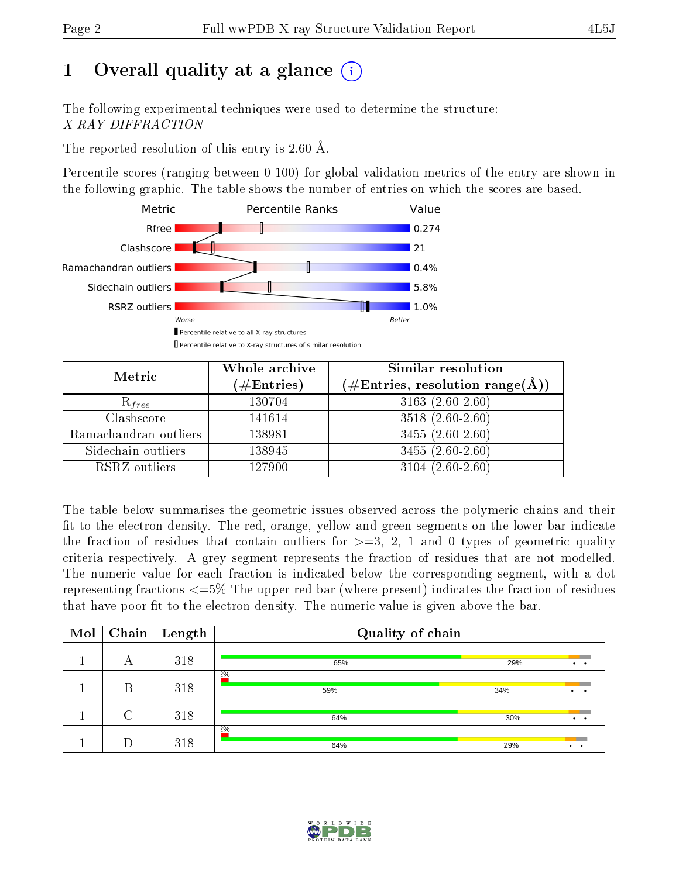# 1 [O](https://www.wwpdb.org/validation/2017/XrayValidationReportHelp#overall_quality)verall quality at a glance  $(i)$

The following experimental techniques were used to determine the structure: X-RAY DIFFRACTION

The reported resolution of this entry is 2.60 Å.

Percentile scores (ranging between 0-100) for global validation metrics of the entry are shown in the following graphic. The table shows the number of entries on which the scores are based.



| Metric                | Whole archive<br>$(\#\text{Entries})$ | Similar resolution<br>$(\#\text{Entries},\, \text{resolution}\; \text{range}(\textup{\AA}))$ |  |  |
|-----------------------|---------------------------------------|----------------------------------------------------------------------------------------------|--|--|
| $R_{free}$            | 130704                                | $3163(2.60-2.60)$                                                                            |  |  |
| Clashscore            | 141614                                | $3518(2.60-2.60)$                                                                            |  |  |
| Ramachandran outliers | 138981                                | $3455(2.60-2.60)$                                                                            |  |  |
| Sidechain outliers    | 138945                                | $3455(2.60-2.60)$                                                                            |  |  |
| RSRZ outliers         | 127900                                | $3104(2.60-2.60)$                                                                            |  |  |

The table below summarises the geometric issues observed across the polymeric chains and their fit to the electron density. The red, orange, yellow and green segments on the lower bar indicate the fraction of residues that contain outliers for  $>=3, 2, 1$  and 0 types of geometric quality criteria respectively. A grey segment represents the fraction of residues that are not modelled. The numeric value for each fraction is indicated below the corresponding segment, with a dot representing fractions  $\epsilon=5\%$  The upper red bar (where present) indicates the fraction of residues that have poor fit to the electron density. The numeric value is given above the bar.

| Mol | Chain  | Length | Quality of chain |     |                     |
|-----|--------|--------|------------------|-----|---------------------|
|     | А      | 318    | 65%              | 29% | $\bullet$ $\bullet$ |
|     | В      | 318    | 2%<br>59%        | 34% | $\cdot$ $\cdot$     |
|     | $\cap$ | 318    | 64%              | 30% | $\cdot$ $\cdot$     |
|     |        | 318    | 2%<br>64%        | 29% | $\cdot$ $\cdot$     |

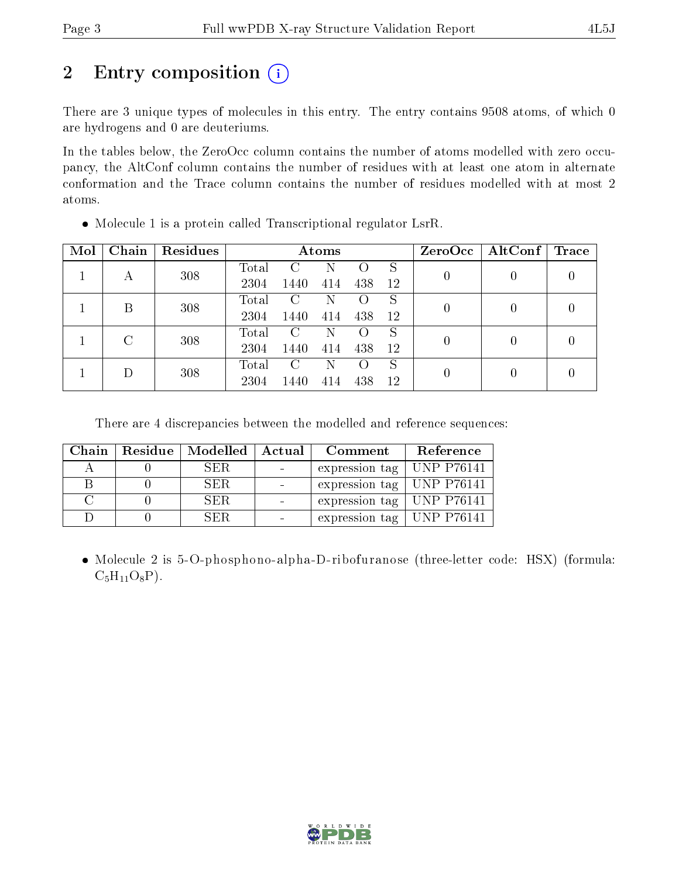# 2 Entry composition (i)

There are 3 unique types of molecules in this entry. The entry contains 9508 atoms, of which 0 are hydrogens and 0 are deuteriums.

In the tables below, the ZeroOcc column contains the number of atoms modelled with zero occupancy, the AltConf column contains the number of residues with at least one atom in alternate conformation and the Trace column contains the number of residues modelled with at most 2 atoms.

| Mol | Chain | Residues | Atoms       |         |                |                    |    | ZeroOcc | AltConf | $\operatorname{Trace}$ |  |  |
|-----|-------|----------|-------------|---------|----------------|--------------------|----|---------|---------|------------------------|--|--|
|     |       | 308      | Total       | C       | N              | $\left( \ \right)$ | S  |         |         |                        |  |  |
|     | А     |          | 2304        | 1440    | 414            | 438                | 12 | 0       |         |                        |  |  |
|     | В     | 308      | $\rm Total$ | C       | Ν              | $\left( \ \right)$ | S  |         |         |                        |  |  |
|     |       |          | 2304        | 1440    | 414            | 438                | 12 | 0       |         |                        |  |  |
|     |       |          |             |         | $\text{Total}$ | C                  | N  |         | S       |                        |  |  |
|     |       | 308      | 2304        | 1440    | 414            | 438                | 12 | 0       |         |                        |  |  |
|     |       |          | Total       | $\rm C$ | N              | $\left( \ \right)$ | S  |         |         |                        |  |  |
|     | 308   | 2304     | 1440        | 414     | 438            | 12                 | 0  |         |         |                        |  |  |

• Molecule 1 is a protein called Transcriptional regulator LsrR.

There are 4 discrepancies between the modelled and reference sequences:

| Chain | Residue   Modelled | ⊦ Actual | Comment                                       | Reference |
|-------|--------------------|----------|-----------------------------------------------|-----------|
|       | SER.               |          | expression tag   UNP P76141                   |           |
|       | SER.               |          | expression tag   UNP P76141                   |           |
|       | SER.               |          | expression tag   UNP P76141                   |           |
|       | SER.               |          | $\perp$ expression tag $\parallel$ UNP P76141 |           |

 Molecule 2 is 5-O-phosphono-alpha-D-ribofuranose (three-letter code: HSX) (formula:  $C_5H_{11}O_8P$ ).

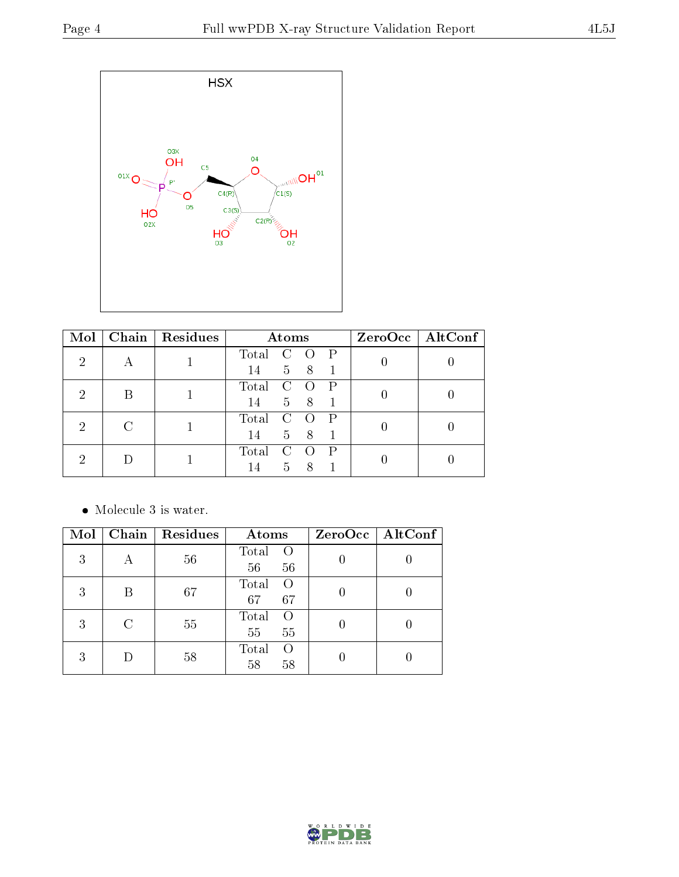

| Mol |   | Chain   Residues | Atoms                                     | $ZeroOcc \mid AltConf \mid$ |  |
|-----|---|------------------|-------------------------------------------|-----------------------------|--|
| 2   |   |                  | Total C<br>$\mathsf{P}$<br>$\bigcirc$     |                             |  |
|     | A |                  | $5 \quad 8$<br>14                         |                             |  |
| 2   | В |                  | Total<br>$\mathbf{C}$<br>$\bigcirc$       |                             |  |
|     |   |                  | 5 8<br>14                                 |                             |  |
| 2   |   |                  | Total<br>$\mathbf C$<br>$\bigcirc$        |                             |  |
|     |   |                  | 5 8<br>14                                 |                             |  |
|     |   |                  | Total<br>$\mathcal{C}$<br>P<br>$\bigcirc$ |                             |  |
|     |   |                  |                                           | 5 <sup>7</sup><br>8<br>14   |  |

 $\bullet\,$  Molecule 3 is water.

| Mol |   | Chain   Residues | Atoms                                 | $ZeroOcc$   AltConf |
|-----|---|------------------|---------------------------------------|---------------------|
| 3   |   | 56               | Total<br>$\circ$<br>56<br>56          |                     |
| 3   |   | 67               | Total<br>$\bigcap$<br>67<br>67        |                     |
| 3   | C | 55               | Total<br>$\left( \right)$<br>55<br>55 |                     |
| 3   |   | 58               | Total<br>$\left($<br>58<br>58         |                     |

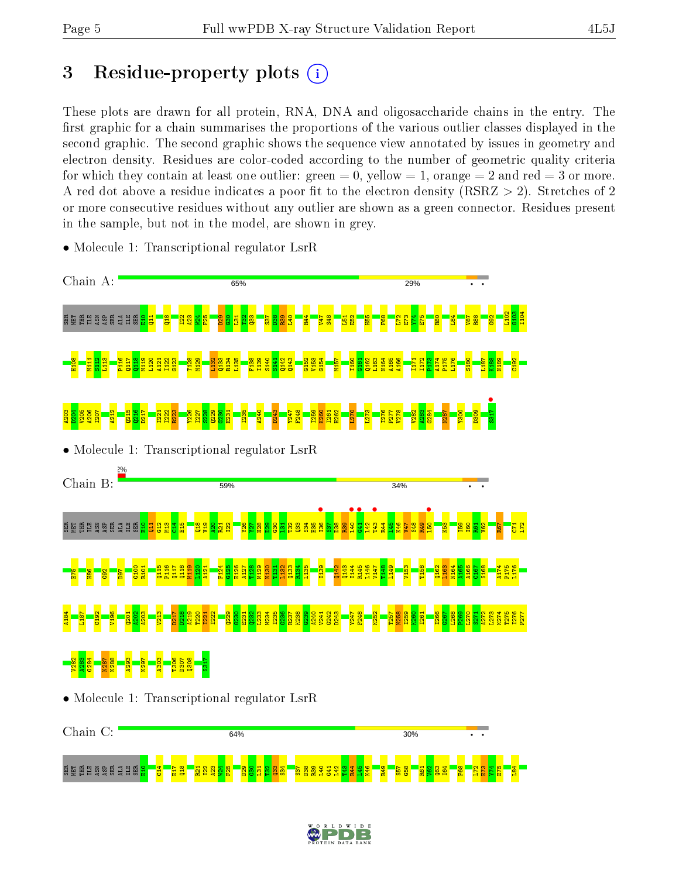BER EN SA BERER I

 $\frac{8}{10}$  $\frac{4}{2}$ E17  $\frac{18}{2}$  $\overline{21}$  $\frac{22}{2}$  $\frac{23}{2}$  $\frac{1}{2}$  $\frac{5}{5}$  $\frac{29}{2}$  $\frac{8}{3}$  $\overline{\mathbf{E}}$ ឌ  $\frac{33}{2}$  $534$ S37 D38 R39 L40  $\frac{41}{2}$  $\frac{22}{2}$  $\frac{29}{2}$  $\frac{1}{4}$  $\frac{1}{2}$  $\frac{8}{10}$ R49 S57  $\frac{8}{5}$ R61  $\frac{2}{5}$ Q63 I64 F68  $\frac{1}{2}$ E73  $\frac{1}{2}$ E75 L84

# 3 Residue-property plots  $(i)$

These plots are drawn for all protein, RNA, DNA and oligosaccharide chains in the entry. The first graphic for a chain summarises the proportions of the various outlier classes displayed in the second graphic. The second graphic shows the sequence view annotated by issues in geometry and electron density. Residues are color-coded according to the number of geometric quality criteria for which they contain at least one outlier: green  $= 0$ , yellow  $= 1$ , orange  $= 2$  and red  $= 3$  or more. A red dot above a residue indicates a poor fit to the electron density ( $\text{RSRZ} > 2$ ). Stretches of 2 or more consecutive residues without any outlier are shown as a green connector. Residues present in the sample, but not in the model, are shown in grey.



• Molecule 1: Transcriptional regulator LsrR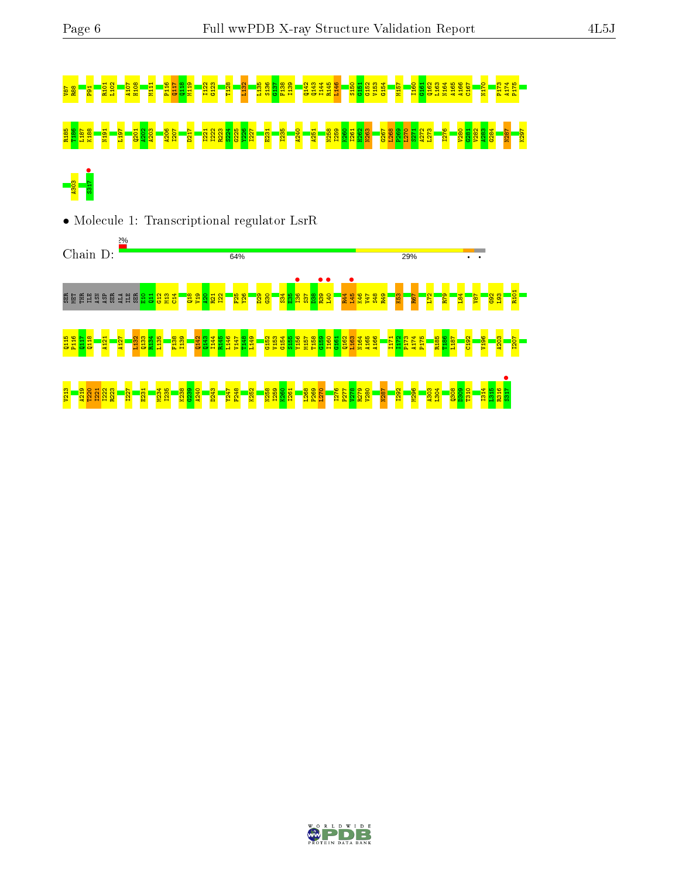# 88 R88 P21 R11 R102 R20 R102 T128 L132 L132 T123 T123 T123 T123 T128 G132 T128 E132 G132 G132 G132 G151 G152 <br>P 8 R1 D150 B150 B150 G151 G151 G152 G152 G152 A166 G161 G162 G162 G162 O162 G162 G167 G167 O175 A174 P175 A17 R185 T186 L187 K188 N191 L197 Q201 A202 A203 A206 I207 D217 I221 I222 R223 S224 G225 Y226 I227 E231 I235 A240 A251 N258 I259 K260 I261 H262 N263 G267 L268 P269 L270 S271 A272 L273 I276 V280 G281 V282 A283 G284 N287 K297 A303<br>S317 •

• Molecule 1: Transcriptional regulator LsrR



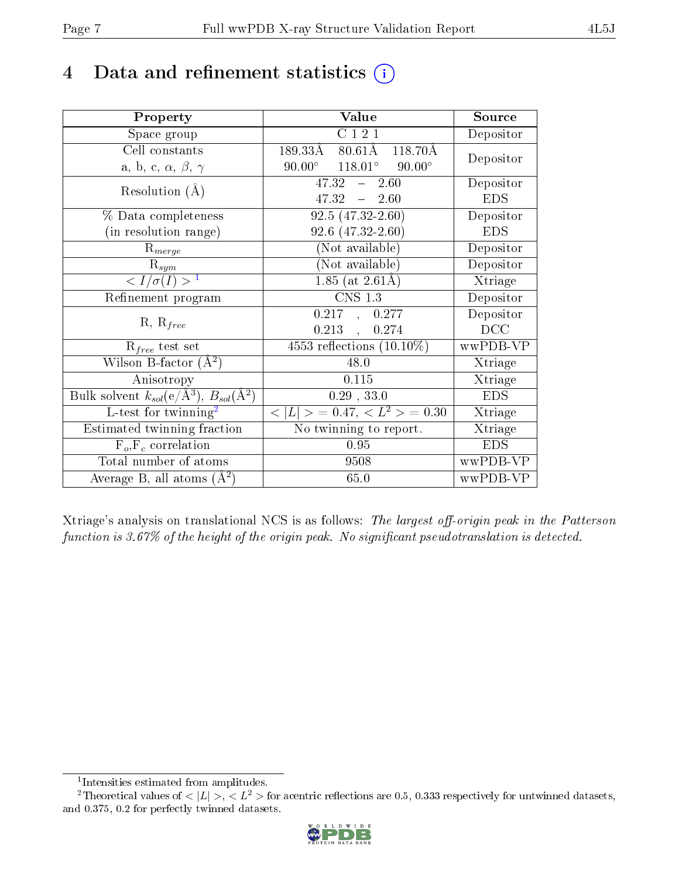# 4 Data and refinement statistics  $(i)$

| Property                                                         | Value                                                         | Source     |
|------------------------------------------------------------------|---------------------------------------------------------------|------------|
| Space group                                                      | C121                                                          | Depositor  |
| Cell constants                                                   | $189.33\text{\AA}$<br>$80.61\text{\AA}$<br>$118.70\text{\AA}$ | Depositor  |
| a, b, c, $\alpha$ , $\beta$ , $\gamma$                           | $90.00^{\circ}$ $118.01^{\circ}$ $90.00^{\circ}$              |            |
| Resolution $(A)$                                                 | $47.32 -$<br>2.60                                             | Depositor  |
|                                                                  | $47.32 - 2.60$                                                | <b>EDS</b> |
| % Data completeness                                              | $92.5(47.32 - 2.60)$                                          | Depositor  |
| (in resolution range)                                            | $92.6$ $(47.32 - 2.60)$                                       | <b>EDS</b> |
| $R_{merge}$                                                      | (Not available)                                               | Depositor  |
| $\mathrm{R}_{sym}$                                               | (Not available)                                               | Depositor  |
| $\langle I/\sigma(I) \rangle^{-1}$                               | $\overline{1.85}$ (at $2.61$ Å)                               | Xtriage    |
| Refinement program                                               | <b>CNS 1.3</b>                                                | Depositor  |
| $R, R_{free}$                                                    | 0.217, 0.277                                                  | Depositor  |
|                                                                  | $0.213$ ,<br>0.274                                            | DCC        |
| $R_{free}$ test set                                              | $4553$ reflections $(10.10\%)$                                | wwPDB-VP   |
| Wilson B-factor $(A^2)$                                          | 48.0                                                          | Xtriage    |
| Anisotropy                                                       | 0.115                                                         | Xtriage    |
| Bulk solvent $k_{sol}(\text{e}/\text{A}^3), B_{sol}(\text{A}^2)$ | $0.29$ , $33.0$                                               | <b>EDS</b> |
| L-test for twinning <sup>2</sup>                                 | $< L >$ = 0.47, $< L2 >$ = 0.30                               | Xtriage    |
| Estimated twinning fraction                                      | No twinning to report.                                        | Xtriage    |
| $F_o, F_c$ correlation                                           | 0.95                                                          | <b>EDS</b> |
| Total number of atoms                                            | 9508                                                          | wwPDB-VP   |
| Average B, all atoms $(A^2)$                                     | 65.0                                                          | wwPDB-VP   |

Xtriage's analysis on translational NCS is as follows: The largest off-origin peak in the Patterson function is  $3.67\%$  of the height of the origin peak. No significant pseudotranslation is detected.

<sup>&</sup>lt;sup>2</sup>Theoretical values of  $\langle |L| \rangle$ ,  $\langle L^2 \rangle$  for acentric reflections are 0.5, 0.333 respectively for untwinned datasets, and 0.375, 0.2 for perfectly twinned datasets.



<span id="page-6-1"></span><span id="page-6-0"></span><sup>1</sup> Intensities estimated from amplitudes.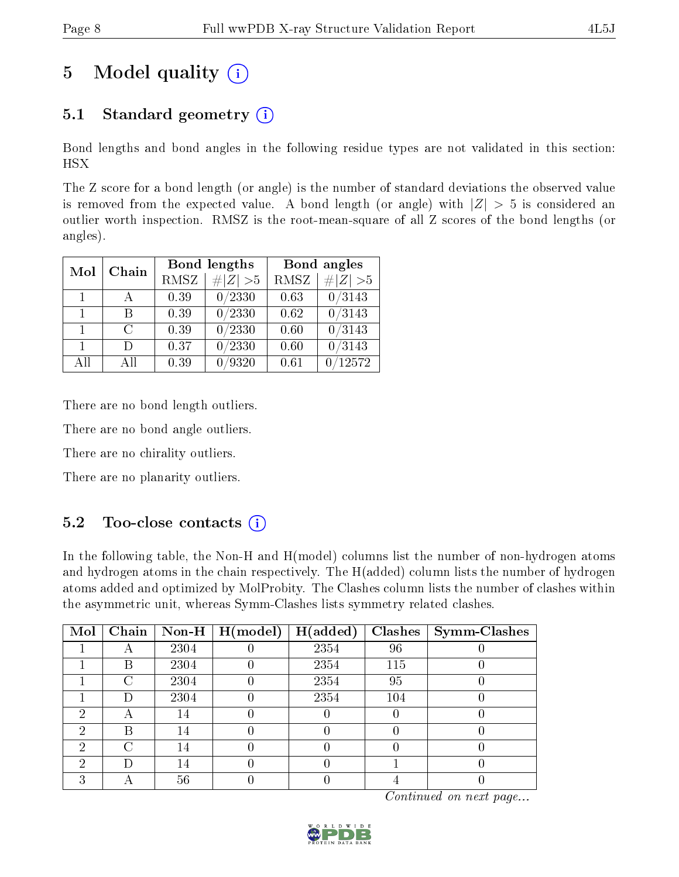# 5 Model quality  $(i)$

## 5.1 Standard geometry  $(i)$

Bond lengths and bond angles in the following residue types are not validated in this section: HSX

The Z score for a bond length (or angle) is the number of standard deviations the observed value is removed from the expected value. A bond length (or angle) with  $|Z| > 5$  is considered an outlier worth inspection. RMSZ is the root-mean-square of all Z scores of the bond lengths (or angles).

| Mol            |               |      | Bond lengths    | Bond angles |             |  |
|----------------|---------------|------|-----------------|-------------|-------------|--|
| Chain          |               | RMSZ | $\# Z  > 5$     | RMSZ        | $\# Z  > 5$ |  |
| 1.             |               | 0.39 | 0/2330          | 0.63        | 0/3143      |  |
| $\mathbf{1}$   | R             | 0.39 | $\sqrt{0/2330}$ | 0.62        | 0/3143      |  |
| $\mathbf{1}$   | $\mathcal{C}$ | 0.39 | 0/2330          | 0.60        | 0/3143      |  |
| $\overline{1}$ | Ð             | 0.37 | 0/2330          | 0.60        | 0/3143      |  |
| All            | Αll           | 0.39 | 0/9320          | 0.61        | 12572       |  |

There are no bond length outliers.

There are no bond angle outliers.

There are no chirality outliers.

There are no planarity outliers.

## $5.2$  Too-close contacts  $\overline{1}$

In the following table, the Non-H and H(model) columns list the number of non-hydrogen atoms and hydrogen atoms in the chain respectively. The H(added) column lists the number of hydrogen atoms added and optimized by MolProbity. The Clashes column lists the number of clashes within the asymmetric unit, whereas Symm-Clashes lists symmetry related clashes.

| Mol | Chain |      | Non-H $\mid$ H(model) | H(added) | <b>Clashes</b> | <b>Symm-Clashes</b> |
|-----|-------|------|-----------------------|----------|----------------|---------------------|
|     |       | 2304 |                       | 2354     | 96             |                     |
|     | B     | 2304 |                       | 2354     | 115            |                     |
|     | C     | 2304 |                       | 2354     | 95             |                     |
|     | D     | 2304 |                       | 2354     | 104            |                     |
| 6)  |       | 14   |                       |          |                |                     |
| 2   | В     | 14   |                       |          |                |                     |
| ച   |       | 14   |                       |          |                |                     |
| റ   | Ð     | 14   |                       |          |                |                     |
|     |       | 56   |                       |          |                |                     |

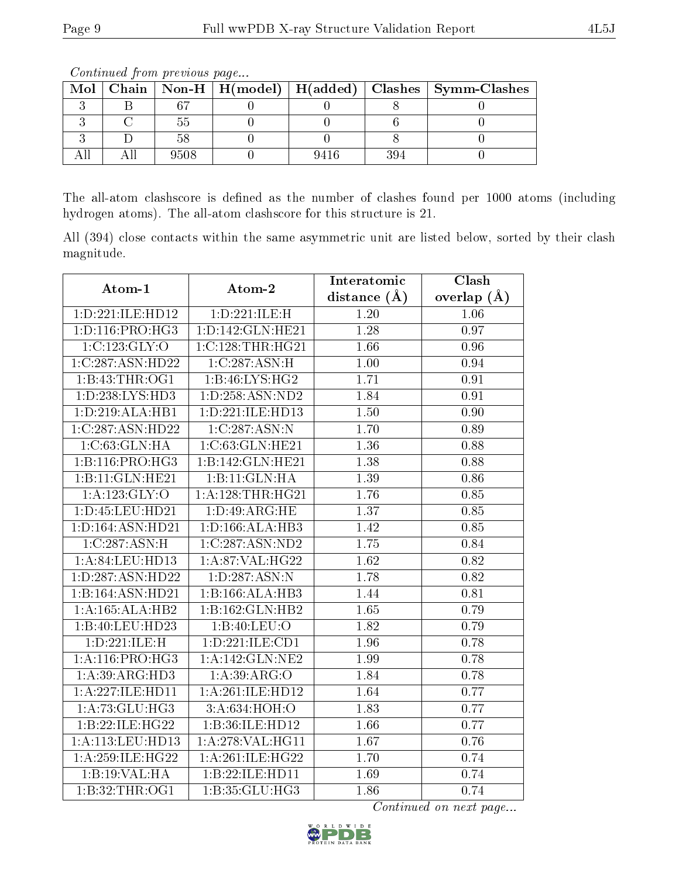| Mol | $Chain$ $\mid$ |      |      |     | $\mid$ Non-H $\mid$ H(model) $\mid$ H(added) $\mid$ Clashes $\mid$ Symm-Clashes |
|-----|----------------|------|------|-----|---------------------------------------------------------------------------------|
|     |                |      |      |     |                                                                                 |
|     |                |      |      |     |                                                                                 |
|     |                |      |      |     |                                                                                 |
|     |                | 9508 | 9416 | 394 |                                                                                 |

Continued from previous page...

The all-atom clashscore is defined as the number of clashes found per 1000 atoms (including hydrogen atoms). The all-atom clashscore for this structure is 21.

All (394) close contacts within the same asymmetric unit are listed below, sorted by their clash magnitude.

| Atom-1              | Atom-2               | Interatomic      | Clash           |
|---------------------|----------------------|------------------|-----------------|
|                     |                      | distance $(\AA)$ | overlap $(\AA)$ |
| 1:D:221:ILE:HD12    | 1:D:221:ILE:H        | 1.20             | 1.06            |
| 1: D: 116: PRO:HG3  | 1: D: 142: GLN: HE21 | 1.28             | 0.97            |
| 1:C:123:GLY:O       | 1:C:128:THR:HG21     | 1.66             | 0.96            |
| 1:C:287:ASN:HD22    | 1:C:287:ASN:H        | 1.00             | 0.94            |
| 1:B:43:THR:OG1      | 1:B:46:LYS:HG2       | 1.71             | 0.91            |
| 1:D:238:LYS:HD3     | 1:D:258:ASN:ND2      | 1.84             | 0.91            |
| 1:D:219:ALA:HB1     | 1:D:221:ILE:HD13     | 1.50             | 0.90            |
| 1:C:287:ASN:HD22    | 1:C:287:ASN:N        | 1.70             | 0.89            |
| 1: C: 63: GLN: HA   | 1:C:63:GLN:HE21      | 1.36             | 0.88            |
| 1:B:116:PRO:HG3     | 1:B:142:GLN:HE21     | 1.38             | 0.88            |
| 1:B:11:GLN:HE21     | 1:B:11:GLN:HA        | 1.39             | 0.86            |
| 1:A:123:GLY:O       | 1:A:128:THR:HG21     | 1.76             | 0.85            |
| 1: D: 45: LEU: HD21 | 1: D: 49: ARG: HE    | 1.37             | 0.85            |
| 1:D:164:ASN:HD21    | 1: D: 166: ALA: HB3  | 1.42             | 0.85            |
| 1:C:287:ASN:H       | 1:C:287:ASN:ND2      | 1.75             | 0.84            |
| 1:A:84:LEU:HD13     | 1:A:87:VAL:HG22      | 1.62             | 0.82            |
| 1:D:287:ASN:HD22    | 1: D: 287: ASN: N    | 1.78             | 0.82            |
| 1:B:164:ASN:HD21    | 1:B:166:ALA:HB3      | 1.44             | 0.81            |
| 1:A:165:ALA:HB2     | 1:B:162:GLN:HB2      | 1.65             | 0.79            |
| 1:B:40:LEU:HD23     | 1:B:40:LEU:O         | 1.82             | 0.79            |
| 1:D:221:ILE:H       | 1:D:221:ILE:CD1      | 1.96             | 0.78            |
| 1: A:116: PRO:HG3   | 1:A:142:GLN:NE2      | 1.99             | 0.78            |
| 1: A:39: ARG: HD3   | 1:A:39:ARG:O         | 1.84             | 0.78            |
| 1:A:227:ILE:HD11    | 1:A:261:ILE:HD12     | 1.64             | 0.77            |
| 1: A:73: GLU:HG3    | 3: A:634:HOH:O       | 1.83             | 0.77            |
| 1:B:22:ILE:HG22     | 1:B:36:ILE:HD12      | 1.66             | 0.77            |
| $1:$ A:113:LEU:HD13 | 1:A:278:VAL:HG11     | 1.67             | 0.76            |
| 1: A:259: ILE:HG22  | 1:A:261:ILE:HG22     | 1.70             | 0.74            |
| 1:B:19:VAL:HA       | 1:B:22:ILE:HD11      | 1.69             | 0.74            |
| 1:B:32:THR:OG1      | 1:B:35:GLU:HG3       | 1.86             | 0.74            |

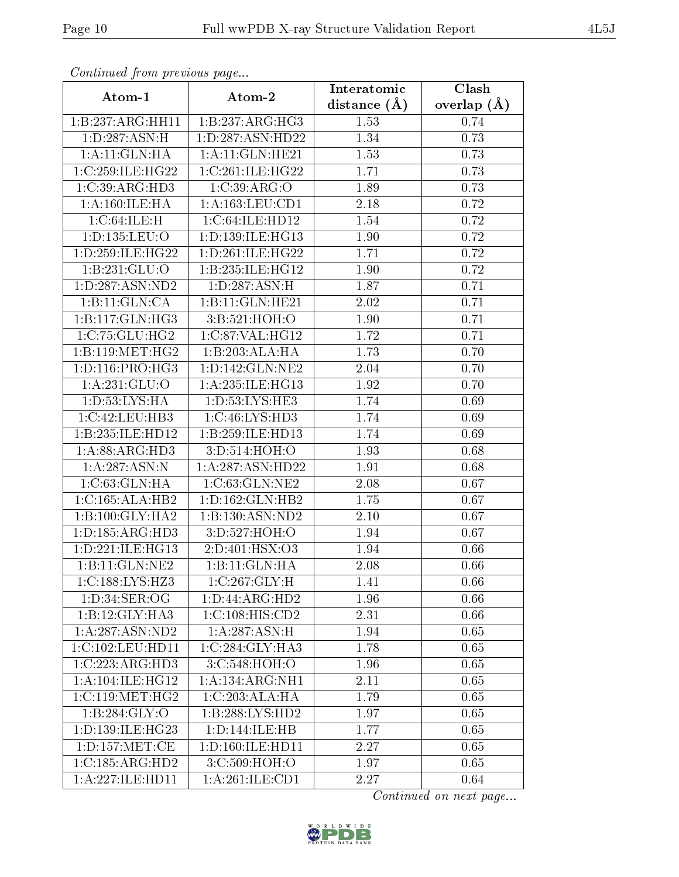| Communa from previous page                    |                     | Interatomic       | Clash           |  |
|-----------------------------------------------|---------------------|-------------------|-----------------|--|
| Atom-1                                        | Atom-2              |                   | overlap $(\AA)$ |  |
| 1:B:237:ARG:HH11                              | 1:B:237:ARG:HG3     | 1.53              | 0.74            |  |
| 1: D: 287: ASN:H                              | 1:D:287:ASN:HD22    | 1.34              | 0.73            |  |
| 1:A:11:GLN:HA                                 | 1:A:11:GLN:HE21     | 1.53              | 0.73            |  |
| 1:C:259:ILE:HG22                              | 1:C:261:ILE:HG22    | 1.71              | 0.73            |  |
| $1:C:39:A\overline{\mathrm{RG:H}\mathrm{D}3}$ | 1:C:39:ARG:O        | 1.89              | 0.73            |  |
| 1:A:160:ILE:HA                                | 1:A:163:LEU:CD1     | 2.18              | 0.72            |  |
| 1:C:64:ILE:H                                  | 1:C:64:ILE:HD12     | $\overline{1.54}$ | 0.72            |  |
| 1: D: 135: LEU: O                             | 1:D:139:ILE:HG13    | 1.90              | 0.72            |  |
| 1:D:259:ILE:HG22                              | 1: D:261: ILE:HG22  | 1.71              | 0.72            |  |
| 1:B:231:GLU:O                                 | 1:B:235:ILE:HG12    | 1.90              | 0.72            |  |
| 1:D:287:ASN:ND2                               | 1:D:287:ASN:H       | 1.87              | 0.71            |  |
| 1:B:11:GLN:CA                                 | 1:B:11:GLN:HE21     | 2.02              | 0.71            |  |
| 1:B:117:GLN:HG3                               | 3:B:521:HOH:O       | 1.90              | 0.71            |  |
| 1:C:75:GLU:HG2                                | 1:C:87:VAL:HG12     | 1.72              | 0.71            |  |
| 1:B:119:MET:HG2                               | 1:B:203:ALA:HA      | 1.73              | 0.70            |  |
| 1: D: 116: PRO:HG3                            | 1: D: 142: GLN: NE2 | 2.04              | 0.70            |  |
| 1:A:231:GLU:O                                 | 1: A:235: ILE: HG13 | 1.92              | 0.70            |  |
| 1: D: 53: LYS: HA                             | 1:D:53:LYS:HE3      | 1.74              | 0.69            |  |
| 1:C:42:LEU:HB3                                | 1:C:46:LYS:HD3      | 1.74              | 0.69            |  |
| 1:B:235:ILE:HD12                              | 1:B:259:ILE:HD13    | 1.74              | 0.69            |  |
| 1: A:88: ARG:HD3                              | 3:D:514:HOH:O       | 1.93              | 0.68            |  |
| 1:A:287:ASN:N                                 | 1:A:287:ASN:HD22    | 1.91              | 0.68            |  |
| 1: C: 63: GLN: HA                             | 1:C:63:GLN:NE2      | 2.08              | 0.67            |  |
| 1:C:165:ALA:HB2                               | 1: D: 162: GLN: HB2 | 1.75              | 0.67            |  |
| 1:B:100:GLY:HA2                               | 1:B:130:ASN:ND2     | 2.10              | 0.67            |  |
| 1: D: 185: ARG: HD3                           | 3: D: 527: HOH: O   | 1.94              | 0.67            |  |
| 1: D: 221: ILE: HG13                          | 2:D:401:HSX:O3      | 1.94              | 0.66            |  |
| 1:B:11:GLN:NE2                                | 1:B:11:GLN:HA       | 2.08              | 0.66            |  |
| 1:C:188:LYS:HZ3                               | 1:C:267:GLY:H       | 1.41              | 0.66            |  |
| 1:D:34:SER:OG                                 | 1: D: 44: ARG: HD2  | 1.96              | 0.66            |  |
| 1:B:12:GLY:HA3                                | 1:C:108:HIS:CD2     | 2.31              | 0.66            |  |
| 1:A:287:ASN:ND2                               | 1: A:287: ASN:H     | 1.94              | 0.65            |  |
| 1:C:102:LEU:HD11                              | 1:C:284:GLY:HA3     | 1.78              | 0.65            |  |
| 1:C:223:ARG:HD3                               | 3:C:548:HOH:O       | 1.96              | 0.65            |  |
| 1: A:104: ILE:HG12                            | 1:A:134:ARG:NH1     | 2.11              | 0.65            |  |
| 1:C:119:MET:HG2                               | 1:C:203:ALA:HA      | 1.79              | 0.65            |  |
| 1:B:284:GLY:O                                 | 1:B:288:LYS:HD2     | 1.97              | 0.65            |  |
| 1:D:139:ILE:HG23                              | 1:D:144:ILE:HB      | 1.77              | 0.65            |  |
| 1: D: 157: MET: CE                            | 1:D:160:ILE:HD11    | 2.27              | 0.65            |  |
| 1:C:185:ARG:HD2                               | 3:C:509:HOH:O       | 1.97              | 0.65            |  |
| 1:A:227:ILE:HD11                              | 1:A:261:ILE:CD1     | 2.27              | 0.64            |  |

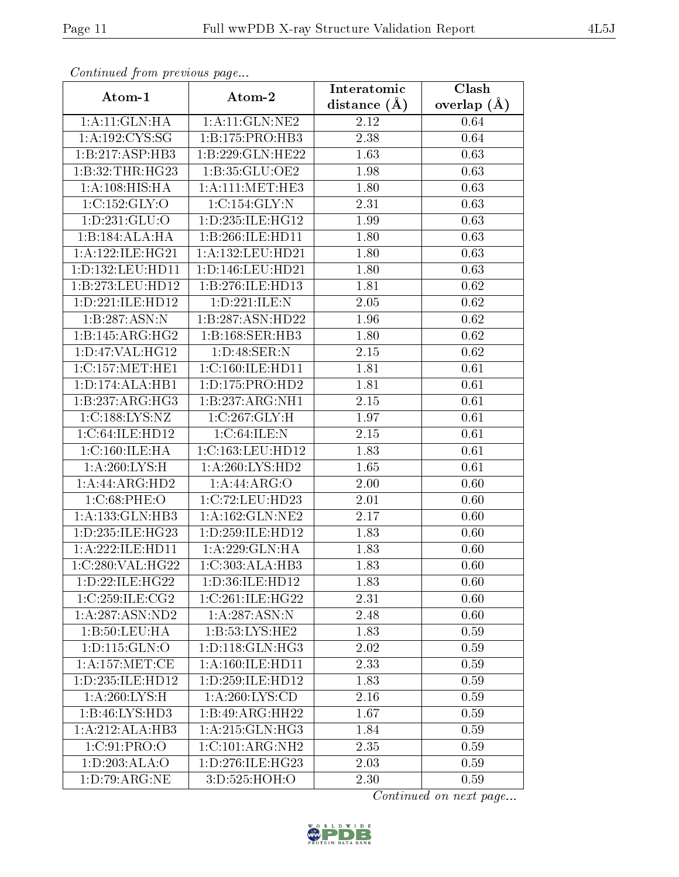| Continuea from previous page        |                              | Interatomic       | Clash         |
|-------------------------------------|------------------------------|-------------------|---------------|
| Atom-1                              | Atom-2                       | distance $(A)$    | overlap $(A)$ |
| 1:A:11:GLN:HA                       | 1:A:11:GLN:NE2               |                   | 0.64          |
| 1: A: 192: CYS: SG                  | 1:B:175:PRO:HB3              | 2.38              | 0.64          |
| 1:B:217:ASP:HB3                     | 1:B:229:GLN:HE22             | 1.63              | 0.63          |
| 1:B:32:THR:HG23                     | 1:B:35:GLU:OE2               | 1.98              | 0.63          |
| 1:A:108:HIS:HA                      | 1: A:111:MET:HE3             | 1.80              | 0.63          |
| 1:C:152:GLY:O                       | 1:C:154:GLY:N                | 2.31              | 0.63          |
| 1: D: 231: GLU: O                   | 1: D: 235: ILE: HG12         | 1.99              | 0.63          |
| 1:B:184:ALA:HA                      | 1:B:266:ILE:HD11             | 1.80              | 0.63          |
| 1: A:122: ILE: HG21                 | 1:A:132:LEU:HD21             | 1.80              | 0.63          |
| 1:D:132:LEU:HD11                    | 1: D: 146: LEU: HD21         | 1.80              | 0.63          |
| 1:B:273:LEU:HD12                    | 1:B:276:ILE:HD13             | 1.81              | 0.62          |
| 1:D:221:ILE:HD12                    | 1:D:221:ILE:N                | 2.05              | 0.62          |
| 1:B:287:ASN:N                       | 1:B:287:ASN:HD22             | 1.96              | 0.62          |
| 1:B:145:ARG:HG2                     | 1:B:168:SER:HB3              | 1.80              | 0.62          |
| 1: D: 47: VAL:HG12                  | 1:D:48:SER:N                 | 2.15              | 0.62          |
| 1:C:157:MET:HE1                     | 1:C:160:ILE:HD11             | 1.81              | 0.61          |
| 1:D:174:ALA:HB1                     | 1: D: 175: PRO: HD2          | 1.81              | 0.61          |
| 1:B:237:ARG:HG3                     | 1:B:237:ARG:NH1              | 2.15              | 0.61          |
| 1:C:188:LYS:NZ                      | 1:C:267:GLY:H                | 1.97              | 0.61          |
| 1:C:64:ILE:HD12                     | 1:C:64:ILE:N                 | 2.15              | 0.61          |
| 1:C:160:ILE:HA                      | 1:C:163:LEU:HD12             | 1.83              | 0.61          |
| 1: A:260:LYS:H                      | 1: A:260: LYS: HD2           | 1.65              | 0.61          |
| 1:A:44:ARG:HD2                      | 1:A:44:ARG:O                 | 2.00              | 0.60          |
| 1:C:68:PHE:O                        | 1:C:72:LEU:HD23              | 2.01              | 0.60          |
| 1:A:133:GLN:HB3                     | 1: A: 162: GLN: NE2          | $\overline{2}.17$ | 0.60          |
| 1:D:235:ILE:HG23                    | 1:D:259:ILE:HD12             | 1.83              | 0.60          |
| 1:A:222:ILE:HD11                    | 1:A:229:GLN:HA               | 1.83              | 0.60          |
| 1:C:280:VAL:HG22                    | $1:C:303:ALA:\overline{HB3}$ | 1.83              | 0.60          |
| 1: D: 22: ILE: HG22                 | 1:D:36:ILE:HD12              | 1.83              | 0.60          |
| 1:C:259:ILE:CG2                     | 1:C:261:ILE:HG22             | 2.31              | 0.60          |
| 1:A:287:ASN:ND2                     | 1: A:287:ASN:N               | 2.48              | 0.60          |
| 1:B:50:LEU:HA                       | 1: B: 53: LYS: HE2           | 1.83              | 0.59          |
| 1: D: 115: GLN: O                   | 1: D: 118: GLN: HG3          | 2.02              | 0.59          |
| 1:A:157:MET:CE                      | 1:A:160:ILE:HD11             | 2.33              | 0.59          |
| 1: D: 235: ILE: HD12                | 1: D: 259: ILE: HD12         | 1.83              | 0.59          |
| 1: A:260:LYS:H                      | $1:\overline{A:260:LYS:CD}$  | 2.16              | 0.59          |
| 1:B:46:LYS:HD3                      | 1:B:49:ARG:HH22              | 1.67              | 0.59          |
| 1:A:212:ALA:HB3                     | 1: A:215: GLN: HG3           | 1.84              | 0.59          |
| 1:C:91:PRO:O                        | 1:C:101:ARG:NH2              | 2.35              | 0.59          |
| $1:D:203:\overline{\mathrm{ALA:O}}$ | 1:D:276:ILE:HG23             | 2.03              | 0.59          |
| 1: D:79: ARG:NE                     | 3:D:525:HOH:O                | 2.30              | 0.59          |

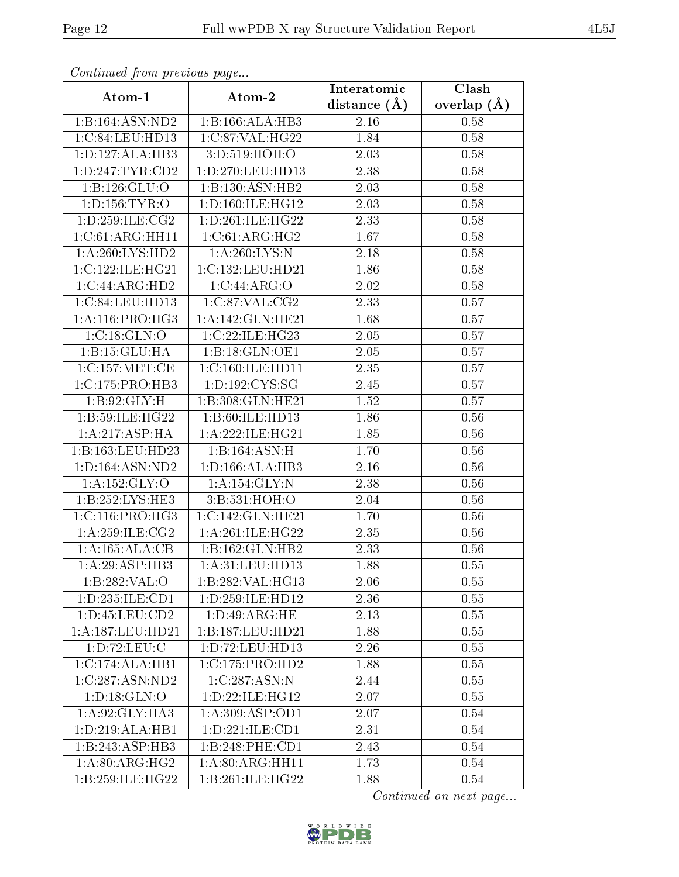| Continuea from previous page |                                        | Interatomic       | Clash           |  |
|------------------------------|----------------------------------------|-------------------|-----------------|--|
| Atom-1                       | Atom-2                                 | distance $(A)$    | overlap $(\AA)$ |  |
| 1:B:164:ASN:ND2              | 1:B:166:ALA:HB3                        | 2.16              | 0.58            |  |
| 1:C:84:LEU:HD13              | 1:C:87:VAL:HG22                        | 1.84              | 0.58            |  |
| 1:D:127:ALA:HB3              | 3:D:519:HOH:O                          | 2.03              | 0.58            |  |
| 1: D: 247: TYR: CD2          | 1:D:270:LEU:HD13                       | $\overline{2}.38$ | 0.58            |  |
| 1:B:126:GLU:O                | 1:B:130:ASN:HB2                        | 2.03              | 0.58            |  |
| 1: D: 156: TYR: O            | 1: D: 160: ILE: HG12                   | 2.03              | 0.58            |  |
| 1:D:259:ILE:CG2              | 1: D:261: ILE:HG22                     | 2.33              | 0.58            |  |
| 1:C:61:ARG:HH11              | 1:C:61:ARG:HG2                         | 1.67              | 0.58            |  |
| 1:A:260:LYS:HD2              | 1: A:260: LYS:N                        | 2.18              | 0.58            |  |
| 1:C:122:ILE:HG21             | 1:C:132:LEU:HD21                       | 1.86              | 0.58            |  |
| 1:C:44:ARG:HD2               | 1:C:44:ARG:O                           | 2.02              | 0.58            |  |
| 1:C:84:LEU:HD13              | 1:C:87:VAL:CG2                         | 2.33              | 0.57            |  |
| 1: A:116: PRO:HG3            | 1:A:142:GLN:HE21                       | 1.68              | 0.57            |  |
| 1:C:18:GLN:O                 | 1:C:22:ILE:HG23                        | 2.05              | 0.57            |  |
| 1:B:15:GLU:HA                | 1:B:18:GLN:OE1                         | 2.05              | 0.57            |  |
| 1:C:157:MET:CE               | 1:C:160:ILE:HD11                       | 2.35              | 0.57            |  |
| 1:C:175:PRO:HB3              | 1:D:192:CYS:SG                         | 2.45              | 0.57            |  |
| 1: B:92: GLY:H               | 1:B:308:GLN:HE21                       | 1.52              | 0.57            |  |
| 1:B:59:ILE:HG22              | 1:B:60:ILE:HD13                        | 1.86              | 0.56            |  |
| 1:A:217:ASP:HA               | 1: A:222: ILE: HG21                    | 1.85              | 0.56            |  |
| 1:B:163:LEU:HD23             | 1:B:164:ASN:H                          | 1.70              | 0.56            |  |
| 1: D: 164: ASN: ND2          | 1: D: 166: ALA: HB3                    | 2.16              | 0.56            |  |
| 1:A:152:GLY:O                | 1:A:154:GLY:N                          | 2.38              | 0.56            |  |
| 1:B:252:LYS:HE3              | 3:B:531:HOH:O                          | 2.04              | 0.56            |  |
| 1: C: 116: PRO:HG3           | 1:C:142:GLN:HE21                       | 1.70              | 0.56            |  |
| 1: A:259: ILE: CG2           | 1: A:261: ILE: HG22                    | 2.35              | 0.56            |  |
| 1:A:165:ALA:CB               | 1:B:162:GLN:HB2                        | 2.33              | 0.56            |  |
| 1:A:29:ASP:HB3               | 1:A:31:LEU:HD13                        | 1.88              | 0.55            |  |
| 1:B:282:VAL:O                | 1:B:282:VAL:HG13                       | 2.06              | 0.55            |  |
| 1:D:235:ILE:CD1              | 1: D: 259: ILE: HD12                   | 2.36              | 0.55            |  |
| 1: D: 45: LEU: CD2           | 1: D: 49: ARG: HE                      | 2.13              | 0.55            |  |
| 1: A: 187: LEU: HD21         | 1:B:187:LEU:HD21                       | 1.88              | 0.55            |  |
| 1: D: 72: LEU: C             | 1: D: 72: LEU: HD13                    | 2.26              | 0.55            |  |
| 1:C:174:ALA:HB1              | 1:C:175:PRO:HD2                        | 1.88              | 0.55            |  |
| 1:C:287:ASN:ND2              | 1:C:287:ASN:N                          | 2.44              | 0.55            |  |
| 1: D: 18: GLN: O             | 1: D: 22: ILE: HG12                    | 2.07              | 0.55            |  |
| 1:A:92:GLY:HA3               | 1: A:309: ASP:OD1                      | 2.07              | 0.54            |  |
| 1:D:219:ALA:HB1              | $1: D: 221: \overline{\text{ILE:CD1}}$ | 2.31              | 0.54            |  |
| 1:B:243:ASP:HB3              | 1:B:248:PHE:CD1                        | 2.43              | 0.54            |  |
| 1: A:80:ARG:HG2              | 1: A:80: ARG: HH11                     | 1.73              | 0.54            |  |
| 1:B:259:ILE:HG22             | 1:B:261:ILE:HG22                       | 1.88              | 0.54            |  |

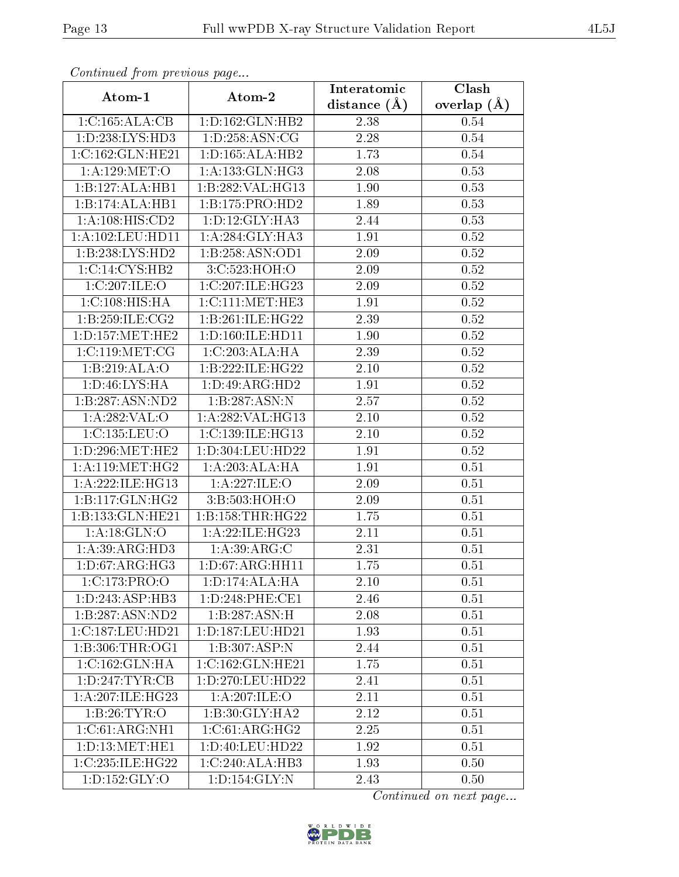| Commaca jibin previous page         |                              | Interatomic | Clash         |  |
|-------------------------------------|------------------------------|-------------|---------------|--|
| Atom-1                              | Atom-2                       |             | overlap $(A)$ |  |
| 1:C:165:ALA:CB                      | 1: D: 162: GLN: HB2          | 2.38        | 0.54          |  |
| 1:D:238:LYS:HD3                     | 1: D: 258: ASN: CG           | 2.28        | 0.54          |  |
| 1:C:162:GLN:HE21                    | 1: D: 165: ALA: HB2          | 1.73        | $0.54\,$      |  |
| 1: A: 129: MET:O                    | 1: A: 133: GLN: HG3          | 2.08        | 0.53          |  |
| 1:B:127:ALA:HB1                     | 1:B:282:VAL:HG13             | 1.90        | 0.53          |  |
| 1:B:174:ALA:HB1                     | 1:B:175:PRO:HD2              | 1.89        | 0.53          |  |
| 1: A: 108: HIS: CD2                 | 1: D: 12: GLY: HA3           | 2.44        | 0.53          |  |
| 1: A: 102: LEU: HD11                | $1:A:284:GLY:H\overline{A3}$ | 1.91        | 0.52          |  |
| 1:B:238:LYS:HD2                     | 1:B:258:ASN:OD1              | 2.09        | 0.52          |  |
| 1:C:14:CYS:HB2                      | 3:C:523:HOH:O                | 2.09        | 0.52          |  |
| 1:C:207:ILE:O                       | 1:C:207:ILE:HG23             | 2.09        | 0.52          |  |
| 1:C:108:HIS:HA                      | 1:C:111:MET:HE3              | 1.91        | $0.52\,$      |  |
| 1:B:259:ILE:CG2                     | 1:B:261:ILE:HG22             | 2.39        | $0.52\,$      |  |
| 1: D: 157: MET: HE2                 | 1:D:160:ILE:HD11             | 1.90        | 0.52          |  |
| 1:C:119:MET:CG                      | 1:C:203:ALA:HA               | 2.39        | 0.52          |  |
| 1:B:219:ALA:O                       | 1:B:222:ILE:HG22             | 2.10        | 0.52          |  |
| 1: D: 46: LYS: HA                   | 1:D:49:ARG:HD2               | 1.91        | 0.52          |  |
| 1:B:287:ASN:ND2                     | 1:B:287:ASN:N                | 2.57        | 0.52          |  |
| $1: A:282:\overline{VAL:O}$         | 1:A:282:VAL:HG13             | $2.10\,$    | 0.52          |  |
| $1:$ C:135:LEU:O                    | 1:C:139:ILE:HG13             | $2.10\,$    | 0.52          |  |
| 1: D: 296:MET:HE2                   | 1:D:304:LEU:HD22             | 1.91        | 0.52          |  |
| 1: A:119:MET:HG2                    | 1:A:203:ALA:HA               | 1.91        | 0.51          |  |
| 1: A:222: ILE: HG13                 | 1:A:227:ILE:O                | 2.09        | 0.51          |  |
| 1:B:117:GLN:HG2                     | 3:B:503:HOH:O                | 2.09        | 0.51          |  |
| 1:B:133:GLN:HE21                    | 1:B:158:THR:HG22             | 1.75        | 0.51          |  |
| 1:A:18:GLN:O                        | 1:A:22:ILE:HG23              | 2.11        | 0.51          |  |
| 1: A:39: ARG: HD3                   | 1: A:39: ARG: C              | 2.31        | 0.51          |  |
| 1: D: 67: ARG: HG3                  | 1: D: 67: ARG: HH11          | 1.75        | 0.51          |  |
| 1:C:173:PRO:O                       | 1: D: 174: ALA: HA           | 2.10        | 0.51          |  |
| 1: D: 243: ASP: HB3                 | 1: D: 248: PHE: CE1          | 2.46        | 0.51          |  |
| $1:B:287:\overline{\text{ASN:ND2}}$ | 1:B:287:ASN:H                | 2.08        | 0.51          |  |
| 1:C:187:LEU:HD21                    | 1:D:187:LEU:HD21             | 1.93        | 0.51          |  |
| 1: B: 306: THR: OG1                 | 1:B:307:ASP:N                | 2.44        | 0.51          |  |
| 1:C:162:GLN:HA                      | 1:C:162:GLN:HE21             | 1.75        | 0.51          |  |
| 1: D: 247: TYR: CB                  | $1: D: 270:$ LEU:HD22        | 2.41        | 0.51          |  |
| 1: A:207: ILE:HG23                  | 1:A:207:ILE:O                | 2.11        | 0.51          |  |
| 1:B:26:TYR:O                        | 1:B:30:GLY:HA2               | 2.12        | 0.51          |  |
| 1:C:61:ARG:NH1                      | 1:C:61:ARG:HG2               | 2.25        | 0.51          |  |
| 1: D: 13: MET: HE1                  | 1:D:40:LEU:HD22              | 1.92        | 0.51          |  |
| 1:C:235:ILE:HG22                    | 1:C:240:ALA:HB3              | 1.93        | 0.50          |  |
| $1: D: 152: \overline{GLY:O}$       | 1: D: 154: GLY:N             | 2.43        | 0.50          |  |

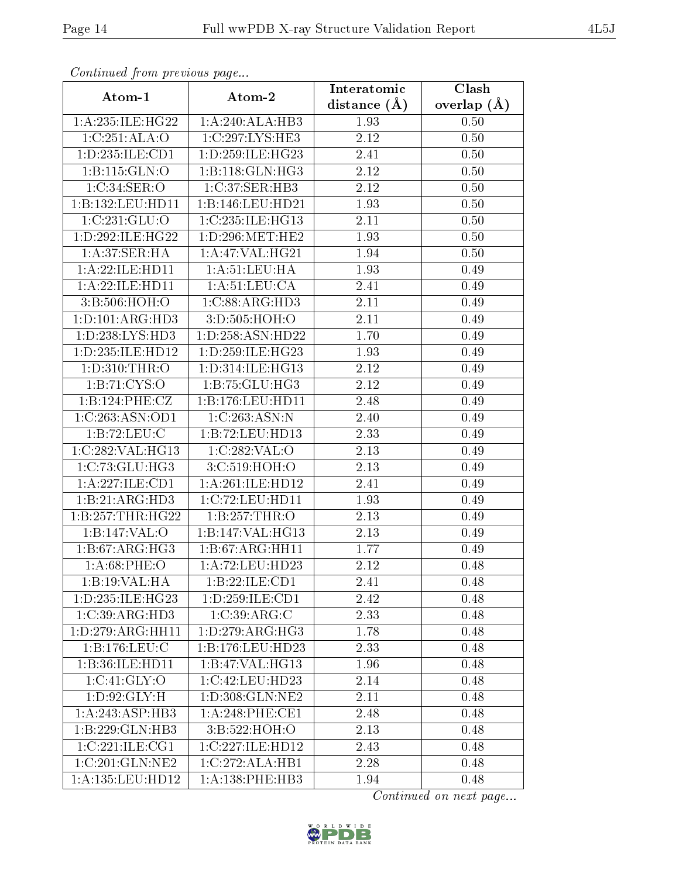| Continuea from previous page |                      | Interatomic       | Clash         |
|------------------------------|----------------------|-------------------|---------------|
| Atom-1                       | Atom-2               | distance $(A)$    | overlap $(A)$ |
| 1: A:235: ILE:HG22           | 1:A:240:ALA:HB3      | 1.93              | 0.50          |
| 1:C:251:ALA:O                | 1:C:297:LYS:HE3      | $\overline{2.12}$ | 0.50          |
| 1:D:235:ILE:CD1              | 1: D: 259: ILE: HG23 | 2.41              | 0.50          |
| 1:B:115:GLN:O                | 1:B:118:GLN:HG3      | 2.12              | 0.50          |
| 1:C:34:SER:O                 | 1:C:37:SER:HB3       | 2.12              | 0.50          |
| 1:B:132:LEU:HD11             | 1:B:146:LEU:HD21     | 1.93              | 0.50          |
| 1:C:231:GLU:O                | 1:C:235:ILE:HG13     | 2.11              | 0.50          |
| 1:D:292:ILE:HG22             | 1: D:296:MET:HE2     | 1.93              | 0.50          |
| 1:A:37:SER:HA                | 1: A:47: VAL:HG21    | 1.94              | 0.50          |
| 1:A:22:ILE:HD11              | 1: A: 51: LEU: HA    | 1.93              | 0.49          |
| 1:A:22:ILE:HD11              | 1: A:51:LEU:CA       | 2.41              | 0.49          |
| 3:B:506:HOH:O                | 1:C:88:ARG:HD3       | 2.11              | 0.49          |
| 1:D:101:ARG:H <sub>D3</sub>  | 3:D:505:HOH:O        | 2.11              | 0.49          |
| 1: D: 238: LYS: HD3          | 1: D: 258: ASN: HD22 | 1.70              | 0.49          |
| 1:D:235:ILE:HD12             | 1: D: 259: ILE: HG23 | 1.93              | 0.49          |
| 1: D: 310: THR:O             | 1:D:314:ILE:HG13     | 2.12              | 0.49          |
| 1: B: 71: CYS:O              | 1:B:75:GLU:HG3       | 2.12              | 0.49          |
| 1:B:124:PHE:CZ               | 1:B:176:LEU:HD11     | 2.48              | 0.49          |
| 1:C:263:ASN:OD1              | 1:C:263:ASN:N        | 2.40              | 0.49          |
| 1:B:72:LEU:C                 | 1:B:72:LEU:HD13      | 2.33              | 0.49          |
| 1:C:282:VAL:HG13             | 1:C:282:VAL:O        | 2.13              | 0.49          |
| 1:C:73:GLU:HG3               | 3:C:519:HOH:O        | 2.13              | 0.49          |
| 1:A:227:ILE:CD1              | 1:A:261:ILE:HD12     | 2.41              | 0.49          |
| 1:B:21:ARG:HD3               | 1:C:72:LEU:HD11      | 1.93              | 0.49          |
| 1:B:257:THR:HG22             | 1:B:257:THR:O        | 2.13              | 0.49          |
| 1:B:147:VAL:O                | 1:B:147:VAL:HG13     | 2.13              | 0.49          |
| 1:B:67:ARG:HG3               | 1:B:67:ARG:HH11      | 1.77              | 0.49          |
| 1: A:68:PHE:O                | 1:A:72:LEU:HD23      | 2.12              | 0.48          |
| 1:B:19:VAL:HA                | 1:B:22:ILE:CD1       | 2.41              | 0.48          |
| 1: D: 235: ILE: HG23         | 1: D: 259: ILE: CD1  | 2.42              | 0.48          |
| 1:C:39:ARG:HD3               | 1:C:39:ARG:C         | 2.33              | 0.48          |
| 1:D:279:ARG:HH11             | 1: D: 279: ARG: HG3  | 1.78              | 0.48          |
| 1:B:176:LEU:C                | 1:B:176:LEU:HD23     | 2.33              | 0.48          |
| 1:B:36:ILE:HD11              | 1:B:47:VAL:HG13      | 1.96              | 0.48          |
| 1:C:41:GLY:O                 | 1:C:42:LEU:HD23      | 2.14              | 0.48          |
| 1: D:92: GLY: H              | 1:D:308:GLN:NE2      | 2.11              | 0.48          |
| 1: A:243:ASP:HB3             | $1: A:248:$ PHE:CE1  | 2.48              | 0.48          |
| 1:B:229:GLN:HB3              | 3:B:522:HOH:O        | 2.13              | 0.48          |
| 1:C:221:ILE:CG1              | 1:C:227:ILE:HD12     | 2.43              | 0.48          |
| 1:C:201:GLN:NE2              | 1:C:272:ALA:HB1      | 2.28              | 0.48          |
| 1:A:135:LEU:HD12             | 1: A: 138: PHE: HB3  | 1.94              | 0.48          |

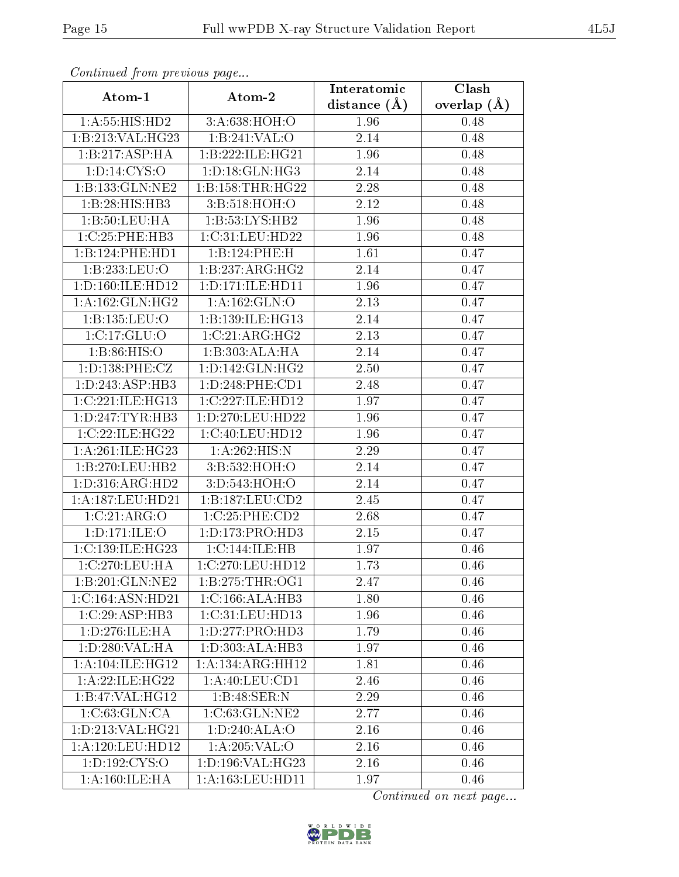| Comunaca jiom previous page |                      | Interatomic    | Clash           |
|-----------------------------|----------------------|----------------|-----------------|
| Atom-1                      | Atom-2               | distance $(A)$ | overlap $(\AA)$ |
| 1: A: 55: HIS: HD2          | 3:A:638:HOH:O        | 1.96           | 0.48            |
| 1:B:213:VAL:HG23            | 1:B:241:VAL:O        | 2.14           | 0.48            |
| 1:B:217:ASP:HA              | 1:B:222:ILE:HG21     | 1.96           | 0.48            |
| 1: D: 14: CYS: O            | 1: D: 18: GLN: HG3   | 2.14           | 0.48            |
| 1:B:133:GLN:NE2             | 1:B:158:THR:HG22     | 2.28           | 0.48            |
| 1:B:28:HIS:HB3              | 3:B:518:HOH:O        | 2.12           | 0.48            |
| 1:B:50:LEU:HA               | 1:B:53:LYS:HB2       | 1.96           | 0.48            |
| 1:C:25:PHE:HB3              | 1:C:31:LEU:HD22      | 1.96           | 0.48            |
| 1:B:124:PHE:HD1             | 1:B:124:PHE:H        | 1.61           | 0.47            |
| 1:B:233:LEU:O               | 1:B:237:ARG:HG2      | 2.14           | 0.47            |
| 1:D:160:ILE:HD12            | 1: D: 171: ILE: HD11 | 1.96           | 0.47            |
| 1:A:162:GLN:HG2             | 1:A:162:GLN:O        | 2.13           | 0.47            |
| 1:B:135:LEU:O               | 1:B:139:ILE:HG13     | 2.14           | 0.47            |
| 1:C:17:GLU:O                | 1:C:21:ARG:HG2       | 2.13           | 0.47            |
| 1: B:86: HIS:O              | 1:B:303:ALA:HA       | 2.14           | 0.47            |
| 1: D: 138: PHE: CZ          | 1: D: 142: GLN: HG2  | 2.50           | 0.47            |
| 1: D: 243: ASP: HB3         | 1:D:248:PHE:CD1      | 2.48           | 0.47            |
| 1:C:221:ILE:HG13            | 1:C:227:ILE:HD12     | 1.97           | 0.47            |
| 1: D: 247: TYR: HB3         | 1:D:270:LEU:HD22     | 1.96           | 0.47            |
| 1:C:22:ILE:HG22             | 1:C:40:LEU:HD12      | 1.96           | 0.47            |
| 1:A:261:ILE:HG23            | 1: A:262: HIS:N      | 2.29           | 0.47            |
| 1:B:270:LEU:HB2             | 3:B:532:HOH:O        | 2.14           | 0.47            |
| 1: D: 316: ARG: HD2         | 3:D:543:HOH:O        | 2.14           | 0.47            |
| 1: A: 187: LEU: HD21        | 1:B:187:LEU:CD2      | 2.45           | 0.47            |
| 1:C:21:ARG:O                | 1:C:25:PHE:CD2       | 2.68           | 0.47            |
| 1:D:171:ILE:O               | 1: D: 173: PRO: HD3  | $2.15\,$       | 0.47            |
| 1:C:139:ILE:HG23            | 1:C:144:ILE:HB       | 1.97           | 0.46            |
| 1:C:270:LEU:HA              | 1:C:270:LEU:HD12     | 1.73           | 0.46            |
| 1:B:201:GLN:NE2             | 1: B: 275: THR:OG1   | 2.47           | 0.46            |
| 1:C:164:ASN:HD21            | 1:C:166:ALA:HB3      | 1.80           | 0.46            |
| 1:C:29:ASP:HB3              | 1:C:31:LEU:HD13      | 1.96           | 0.46            |
| 1:D:276:ILE:HA              | 1: D: 277: PRO: HD3  | 1.79           | 0.46            |
| 1:D:280:VAL:HA              | 1: D: 303: ALA: HB3  | 1.97           | 0.46            |
| 1: A:104: ILE: HG12         | 1:A:134:ARG:HH12     | 1.81           | 0.46            |
| 1:A:22:ILE:HG22             | 1: A:40: LEU:CD1     | 2.46           | 0.46            |
| 1:B:47:VAL:HG12             | 1:B:48:SER:N         | 2.29           | 0.46            |
| 1:C:63:GLN:CA               | 1:C:63:GLN:NE2       | 2.77           | 0.46            |
| 1:D:213:VAL:HG21            | 1: D:240: ALA:O      | 2.16           | 0.46            |
| 1: A: 120: LEU: HD12        | 1: A:205:VAL:O       | 2.16           | 0.46            |
| 1: D: 192: CYS:O            | 1: D: 196: VAL:HG23  | 2.16           | 0.46            |
| 1:A:160:ILE:HA              | 1:A:163:LEU:HD11     | 1.97           | 0.46            |

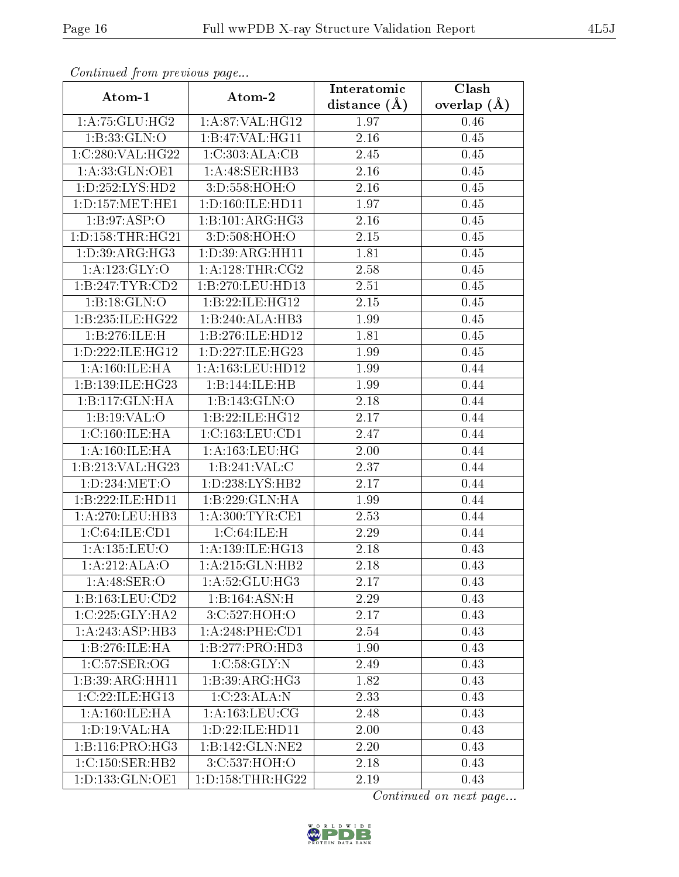| Communa from previous page       |                      | Interatomic       | Clash           |  |
|----------------------------------|----------------------|-------------------|-----------------|--|
| Atom-1                           | Atom-2               | distance $(\AA)$  | overlap $(\AA)$ |  |
| 1:A:75:GLU:HG2                   | 1:A:87:VAL:HG12      | 1.97              | 0.46            |  |
| 1:B:33:GLN:O                     | 1:B:47:VAL:HG11      | $\overline{2.16}$ | 0.45            |  |
| 1:C:280:VAL:HG22                 | 1:C:303:ALA:CB       | 2.45              | 0.45            |  |
| 1:A:33:GLN:OE1                   | 1: A:48: SER:HB3     | 2.16              | 0.45            |  |
| 1: D: 252: LYS: HD2              | 3:D:558:HOH:O        | 2.16              | 0.45            |  |
| 1: D: 157: MET: HE1              | 1: D: 160: ILE: HD11 | 1.97              | 0.45            |  |
| 1: B:97: ASP:O                   | 1:B:101:ARG:HG3      | 2.16              | 0.45            |  |
| 1: D: 158: THR: HG21             | 3:D:508:HOH:O        | 2.15              | 0.45            |  |
| 1: D: 39: ARG: HG3               | 1: D:39: ARG: HH11   | 1.81              | 0.45            |  |
| 1: A: 123: GLY: O                | 1: A:128:THR:CG2     | 2.58              | 0.45            |  |
| 1:B:247:TYR:CD2                  | 1:B:270:LEU:HD13     | 2.51              | 0.45            |  |
| 1:B:18:GLN:O                     | 1:B:22:ILE:HG12      | 2.15              | 0.45            |  |
| 1:B:235:ILE:HG22                 | 1:B:240:ALA:HB3      | 1.99              | 0.45            |  |
| 1:B:276:ILE:H                    | 1:B:276:ILE:HD12     | 1.81              | 0.45            |  |
| 1:D:222:ILE:HG12                 | 1:D:227:ILE:HG23     | 1.99              | 0.45            |  |
| 1: A:160: ILE: HA                | 1: A: 163: LEU: HD12 | 1.99              | 0.44            |  |
| 1:B:139:ILE:HG23                 | 1:B:144:ILE:HB       | 1.99              | 0.44            |  |
| 1:B:117:GLN:HA                   | 1:B:143:GLN:O        | 2.18              | 0.44            |  |
| 1:B:19:VAL:O                     | 1:B:22:ILE:HG12      | 2.17              | 0.44            |  |
| 1:C:160:ILE:HA                   | 1:C:163:LEU:CD1      | 2.47              | 0.44            |  |
| 1:A:160:ILE:HA                   | 1: A: 163: LEU: HG   | 2.00              | 0.44            |  |
| 1:B:213:VAL:HG23                 | 1:B:241:VAL:CC       | 2.37              | 0.44            |  |
| 1:D:234:MET:O                    | 1: D: 238: LYS: HB2  | 2.17              | 0.44            |  |
| 1:B:222:ILE:HD11                 | 1:B:229:GLN:HA       | 1.99              | 0.44            |  |
| 1: A:270: LEU: HB3               | 1: A:300: TYR: CE1   | 2.53              | 0.44            |  |
| 1:C:64:ILE:CD1                   | 1:C:64:ILE:H         | 2.29              | 0.44            |  |
| 1:A:135:LEU:O                    | 1: A: 139: ILE: HG13 | 2.18              | 0.43            |  |
| 1:A:212:ALA:O                    | 1:A:215:GLN:HB2      | 2.18              | 0.43            |  |
| $1:A:48:\overline{\text{SER}:O}$ | 1: A:52: GLU:HG3     | 2.17              | 0.43            |  |
| 1:B:163:LEU:CD2                  | 1:B:164:ASN:H        | 2.29              | 0.43            |  |
| 1:C:225:GLY:HA2                  | 3:C:527:HOH:O        | 2.17              | 0.43            |  |
| 1:A:243:ASP:HB3                  | $1: A:248:$ PHE:CD1  | 2.54              | 0.43            |  |
| 1:B:276:ILE:HA                   | 1:B:277:PRO:HD3      | 1.90              | 0.43            |  |
| 1:C:57:SER:OG                    | 1:C:58:GLY:N         | 2.49              | 0.43            |  |
| 1:B:39:ARG:HH11                  | 1:B:39:ARG:HG3       | 1.82              | 0.43            |  |
| 1:C:22:ILE:HG13                  | 1:C:23:ALA:N         | 2.33              | 0.43            |  |
| 1:A:160:ILE:HA                   | 1: A: 163: LEU: CG   | 2.48              | 0.43            |  |
| 1: D: 19: VAL: HA                | 1:D:22:ILE:HD11      | 2.00              | 0.43            |  |
| 1: B: 116: PRO:HG3               | 1:B:142:GLN:NE2      | 2.20              | 0.43            |  |
| 1: C: 150: SER: HB2              | 3:C:537:HOH:O        | 2.18              | 0.43            |  |
| 1:D:133:GLN:OE1                  | 1: D: 158: THR: HG22 | $2.19\,$          | 0.43            |  |

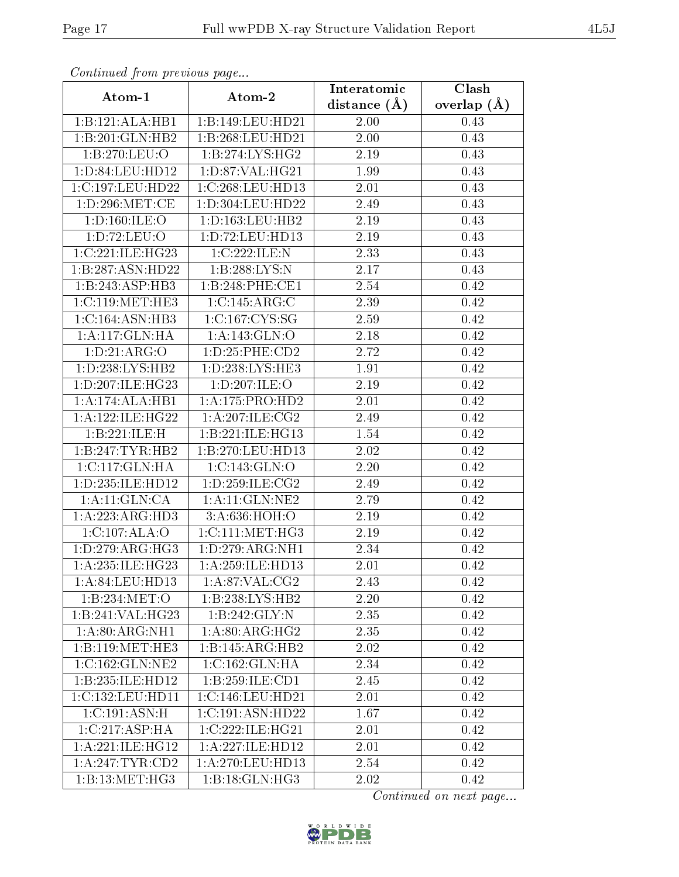| Comunaca jiom previous page          |                                           | Interatomic       | Clash           |  |
|--------------------------------------|-------------------------------------------|-------------------|-----------------|--|
| Atom-1                               | Atom-2                                    | distance $(A)$    | overlap $(\AA)$ |  |
| 1:B:121:ALA:HB1                      | 1:B:149:LEU:HD21                          | 2.00              | 0.43            |  |
| 1:B:201:GLN:HB2                      | 1:B:268:LEU:HD21                          | $\overline{2}.00$ | 0.43            |  |
| 1:B:270:LEU:O                        | 1:B:274:LYS:HG2                           | 2.19              | 0.43            |  |
| 1: D:84: LEU:HD12                    | 1: D:87: VAL:HG21                         | 1.99              | 0.43            |  |
| 1:C:197:LEU:HD22                     | 1:C:268:LEU:HD13                          | 2.01              | 0.43            |  |
| 1: D: 296: MET: CE                   | 1:D:304:LEU:HD22                          | 2.49              | 0.43            |  |
| 1: D: 160: ILE: O                    | 1: D: 163: LEU: HB2                       | 2.19              | 0.43            |  |
| 1: D: 72: LEU: O                     | 1: D: 72: LEU: HD13                       | 2.19              | 0.43            |  |
| 1:C:221:ILE:HG23                     | 1:C:222:ILE:N                             | 2.33              | 0.43            |  |
| 1:B:287:ASN:HD22                     | 1:B:288:LYS:N                             | 2.17              | 0.43            |  |
| 1:B:243:ASP:HB3                      | 1:B:248:PHE:CE1                           | 2.54              | 0.42            |  |
| 1:C:119:MET:HE3                      | 1:C:145:ARG:C                             | 2.39              | 0.42            |  |
| 1:C:164:ASN:HB3                      | 1:C:167:CYS:SG                            | 2.59              | 0.42            |  |
| 1:A:117:GLN:HA                       | 1:A:143:GLN:O                             | 2.18              | 0.42            |  |
| 1: D: 21: ARG: O                     | 1:D:25:PHE:CD2                            | 2.72              | 0.42            |  |
| 1: D: 238: LYS: HB2                  | 1: D: 238: LYS: HE3                       | 1.91              | 0.42            |  |
| 1:D:207:ILE:HG23                     | 1:D:207:ILE:O                             | 2.19              | 0.42            |  |
| 1:A:174:ALA:HB1                      | 1:A:175:PRO:HD2                           | 2.01              | 0.42            |  |
| $1:A:122:I\overline{\text{LE:HG22}}$ | 1:A:207:ILE:CG2                           | 2.49              | 0.42            |  |
| 1:B:221:ILE:H                        | 1:B:221:ILE:HG13                          | 1.54              | 0.42            |  |
| 1:B:247:TYR:HB2                      | 1:B:270:LEU:HD13                          | 2.02              | 0.42            |  |
| 1: C: 117: GLN: HA                   | 1:C:143:GLN:O                             | 2.20              | 0.42            |  |
| 1:D:235:ILE:HD12                     | 1: D: 259: ILE: CG2                       | 2.49              | 0.42            |  |
| 1:A:11:GLN:CA                        | 1:A:11:GLN:NE2                            | 2.79              | 0.42            |  |
| 1:A:223:ARG:HD3                      | 3:A:636:HOH:O                             | 2.19              | 0.42            |  |
| 1:C:107:ALA:O                        | 1:C:111:MET:HG3                           | 2.19              | 0.42            |  |
| 1: D: 279: ARG: HG3                  | 1:D:279:ARG:NH1                           | 2.34              | 0.42            |  |
| 1: A:235: ILE: HG23                  | 1:A:259:ILE:HD13                          | 2.01              | 0.42            |  |
| 1:A:84:LEU:HD13                      | 1: A:87: VAL: CG2                         | 2.43              | 0.42            |  |
| 1:B:234:MET:O                        | 1:B:238:LYS:HB2                           | 2.20              | 0.42            |  |
| 1:B:241:VAL:HG23                     | 1:B:242:GLY:N                             | 2.35              | 0.42            |  |
| 1: A:80:ARG:NH1                      | 1: A:80: ARG: HG2                         | 2.35              | 0.42            |  |
| 1:B:119:MET:HE3                      | 1:B:145:ARG:HB2                           | 2.02              | 0.42            |  |
| 1:C:162:GLN:NE2                      | 1:C:162:GLN:HA                            | 2.34              | 0.42            |  |
| 1:B:235:ILE:HD12                     | 1:B:259:ILE:CD1                           | 2.45              | 0.42            |  |
| 1:C:132:LEU:HD11                     | 1:C:146:LEU:HD21                          | 2.01              | 0.42            |  |
| 1:C:191:ASN:H                        | 1:C:191:ASN:HD22                          | 1.67              | 0.42            |  |
| 1:C:217:ASP:HA                       | 1:C:222:ILE:HG21                          | 2.01              | 0.42            |  |
| 1: A:221: ILE: HG12                  | 1:A:227:ILE:HD12                          | 2.01              | 0.42            |  |
| 1:A:247:TYR:CD2                      | 1:A:270:LEU:HD13                          | 2.54              | 0.42            |  |
| 1:B:13:MET:HG3                       | $1:B:18:\overline{\text{GLN}:\text{HG3}}$ | 2.02              | 0.42            |  |

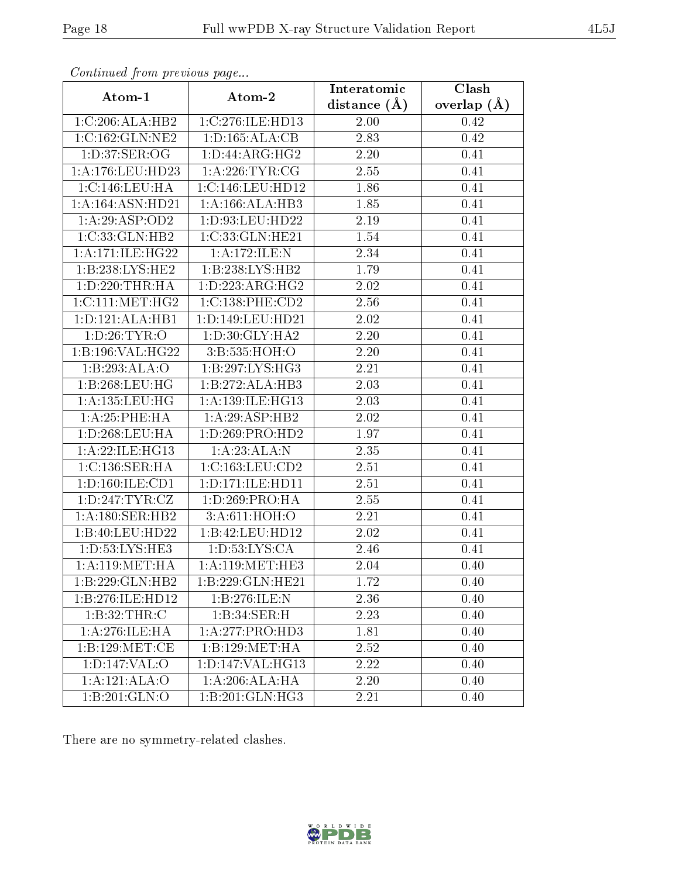| connana promo provio ao pago |                               | Interatomic       | $\overline{\text{Clash}}$ |  |
|------------------------------|-------------------------------|-------------------|---------------------------|--|
| Atom-1                       | Atom-2                        | distance $(A)$    | overlap $(A)$             |  |
| 1:C:206:ALA:HB2              | 1:C:276:ILE:HD13              | 2.00              | 0.42                      |  |
| 1:C:162:GLN:NE2              | 1: D: 165: ALA: CB            | 2.83              | 0.42                      |  |
| 1:D:37:SER:OG                | 1:D:44:ARG:HG2                | $2.20\,$          | 0.41                      |  |
| 1:A:176:LEU:HD23             | 1: A:226:TYR:CG               | 2.55              | 0.41                      |  |
| 1:C:146:LEU:HA               | 1:C:146:LEU:HD12              | 1.86              | 0.41                      |  |
| 1:A:164:ASN:HD21             | 1: A: 166: ALA: HB3           | 1.85              | 0.41                      |  |
| 1:A:29:ASP:OD2               | 1:D:93:LEU:HD22               | 2.19              | 0.41                      |  |
| 1:C:33:GLN:HB2               | 1:C:33:CLN:HE21               | 1.54              | 0.41                      |  |
| 1: A:171: ILE:HG22           | 1:A:172:ILE:N                 | 2.34              | 0.41                      |  |
| 1:B:238:LYS:HE2              | 1:B:238:LYS:HB2               | 1.79              | 0.41                      |  |
| 1: D: 220: THR: HA           | 1: D: 223: ARG: HG2           | 2.02              | 0.41                      |  |
| 1:C:111:MET:HG2              | 1:C:138:PHE:CD2               | $\overline{2}.56$ | 0.41                      |  |
| 1: D: 121: ALA: HB1          | 1: D: 149: LEU: HD21          | 2.02              | 0.41                      |  |
| 1: D:26: TYR:O               | $1: D:30: \overline{GLY:HAZ}$ | $2.20\,$          | 0.41                      |  |
| 1:B:196:VAL:HG22             | 3:B:535:HOH:O                 | 2.20              | 0.41                      |  |
| 1:B:293:ALA:O                | 1:B:297:LYS:HG3               | 2.21              | 0.41                      |  |
| 1:B:268:LEU:HG               | 1:B:272:ALA:HB3               | 2.03              | 0.41                      |  |
| 1: A: 135: LEU: HG           | 1:A:139:ILE:HG13              | 2.03              | 0.41                      |  |
| 1: A:25:PHE:HA               | 1: A:29: ASP:HB2              | 2.02              | 0.41                      |  |
| 1: D: 268: LEU: HA           | 1: D: 269: PRO: HD2           | 1.97              | 0.41                      |  |
| 1: A:22: ILE: HG13           | 1:A:23:ALA:N                  | 2.35              | 0.41                      |  |
| 1: C: 136: SER: HA           | 1:C:163:LEU:CD2               | 2.51              | 0.41                      |  |
| 1: D: 160: ILE: CD1          | 1: D: 171: ILE: HD11          | 2.51              | 0.41                      |  |
| 1:D:247:TYR:CZ               | 1:D:269:PRO:HA                | 2.55              | 0.41                      |  |
| 1:A:180:SER:HB2              | 3: A:611:HOH:O                | 2.21              | 0.41                      |  |
| 1:B:40:LEU:HD22              | 1:B:42:LEU:HD12               | 2.02              | 0.41                      |  |
| 1:D:53:LYS:HE3               | 1: D: 53: LYS: CA             | 2.46              | 0.41                      |  |
| 1: A:119: MET:HA             | 1: A:119:MET:HE3              | 2.04              | 0.40                      |  |
| 1:B:229:GLN:HB2              | 1:B:229:GLN:HE21              | 1.72              | 0.40                      |  |
| 1:B:276:ILE:HD12             | 1:B:276:ILE:N                 | 2.36              | 0.40                      |  |
| 1: B:32:THR:C                | 1:B:34:SER:H                  | 2.23              | 0.40                      |  |
| 1:A:276:ILE:HA               | 1:A:277:PRO:HD3               | 1.81              | 0.40                      |  |
| 1: B: 129: MET:CE            | 1:B:129:MET:HA                | 2.52              | 0.40                      |  |
| 1: D: 147: VAL: O            | 1:D:147:VAL:HG13              | 2.22              | 0.40                      |  |
| 1:A:121:ALA:O                | $1:A:206:ALA:H\overline{A}$   | $2.20\,$          | 0.40                      |  |
| 1:B:201:GLN:O                | 1:B:201:GLN:HG3               | 2.21              | 0.40                      |  |

There are no symmetry-related clashes.

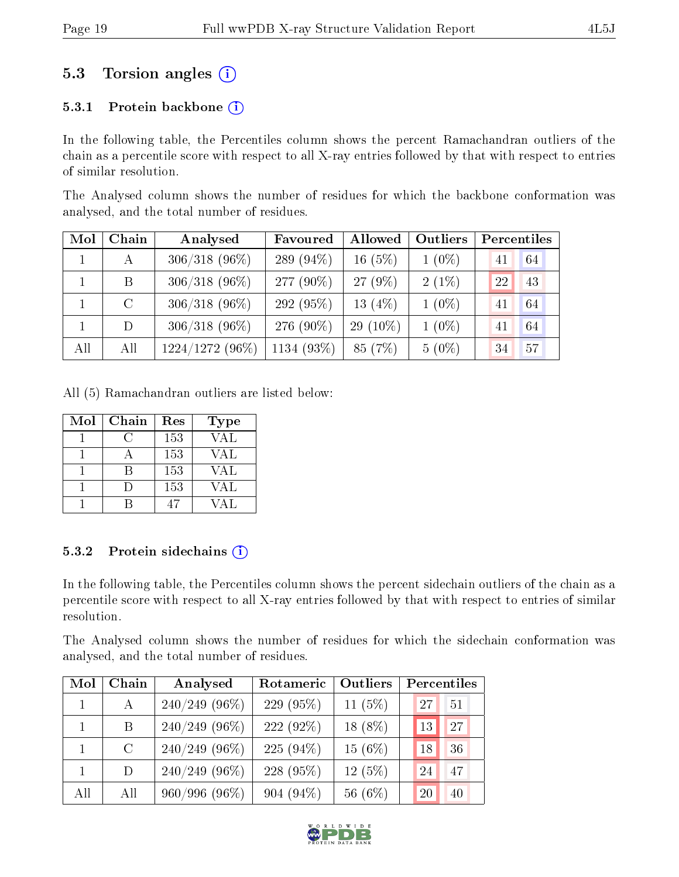## 5.3 Torsion angles  $(i)$

#### 5.3.1 Protein backbone  $(i)$

In the following table, the Percentiles column shows the percent Ramachandran outliers of the chain as a percentile score with respect to all X-ray entries followed by that with respect to entries of similar resolution.

The Analysed column shows the number of residues for which the backbone conformation was analysed, and the total number of residues.

| Mol | Chain        | Analysed          | Favoured     | Allowed   | Outliers | Percentiles |    |
|-----|--------------|-------------------|--------------|-----------|----------|-------------|----|
|     | $\mathbf{A}$ | $306/318$ (96%)   | 289 $(94\%)$ | $16(5\%)$ | $1(0\%)$ | 41          | 64 |
|     | B            | $306/318$ (96%)   | 277 (90\%)   | 27 (9%)   | $2(1\%)$ | 22          | 43 |
|     | $\rm C$      | $306/318$ (96%)   | 292 (95%)    | 13 $(4%)$ | $1(0\%)$ | 41          | 64 |
|     | D            | $306/318(96\%)$   | 276 $(90\%)$ | 29 (10%)  | $1(0\%)$ | 41          | 64 |
| All | All          | $1224/1272(96\%)$ | 1134 (93%)   | 85 (7%)   | $5(0\%)$ | 34          | 57 |

All (5) Ramachandran outliers are listed below:

| Mol | Chain      | Res | <b>Type</b> |
|-----|------------|-----|-------------|
|     | $\epsilon$ | 153 | VAL         |
|     |            | 153 | VAL         |
|     |            | 153 | VAL         |
|     |            | 153 | VAL         |
|     |            |     | / A   .     |

#### 5.3.2 Protein sidechains (i)

In the following table, the Percentiles column shows the percent sidechain outliers of the chain as a percentile score with respect to all X-ray entries followed by that with respect to entries of similar resolution.

The Analysed column shows the number of residues for which the sidechain conformation was analysed, and the total number of residues.

| Mol          | Chain   | Analysed         | Rotameric   | Outliers  | Percentiles |
|--------------|---------|------------------|-------------|-----------|-------------|
| $\mathbf{1}$ | A       | $240/249$ (96%)  | 229(95%)    | 11 $(5%)$ | 27<br>51    |
|              | B       | $240/249$ (96\%) | $222(92\%)$ | $18(8\%)$ | 27<br>13    |
|              | $\rm C$ | $240/249$ (96\%) | $225(94\%)$ | 15(6%)    | 36<br>18    |
|              | $\Box$  | $240/249$ (96\%) | 228 (95%)   | 12(5%)    | 47<br>24    |
| All          | All     | 960/996 (96%)    | $904(94\%)$ | 56 (6%)   | 20<br>40    |

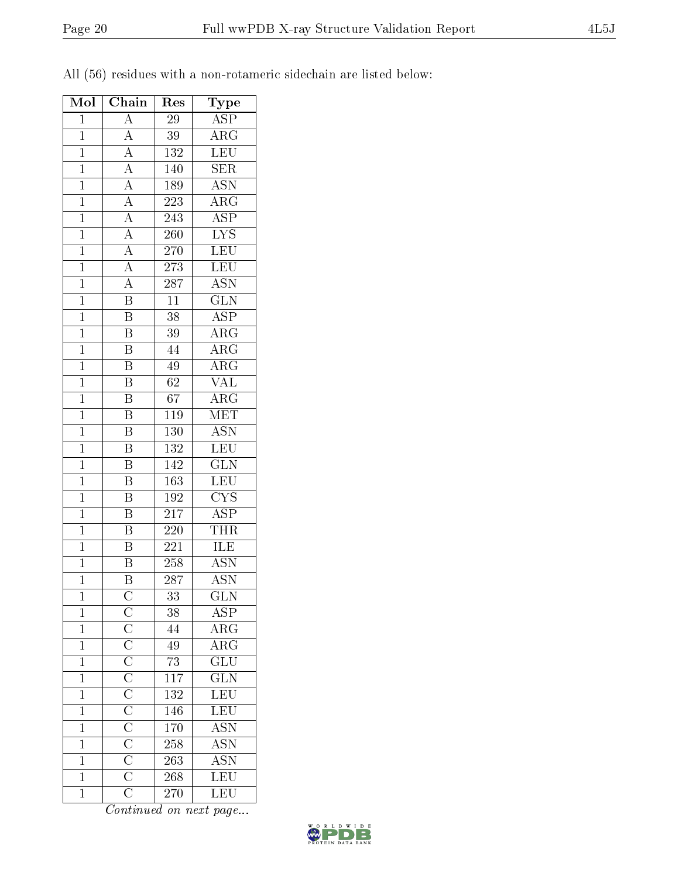|  |  |  |  |  | All (56) residues with a non-rotameric sidechain are listed below: |  |  |  |  |
|--|--|--|--|--|--------------------------------------------------------------------|--|--|--|--|
|--|--|--|--|--|--------------------------------------------------------------------|--|--|--|--|

| Mol            | Chain                                                                   | Res              | Type                    |
|----------------|-------------------------------------------------------------------------|------------------|-------------------------|
| $\mathbf{1}$   | $\overline{A}$                                                          | $\overline{29}$  | $\overline{\text{ASP}}$ |
| $\mathbf{1}$   | $\overline{A}$                                                          | 39               | $\rm{ARG}$              |
| $\overline{1}$ | $\overline{A}$                                                          | $\overline{132}$ | $\overline{\text{LEU}}$ |
| $\mathbf{1}$   | $\overline{A}$                                                          | 140              | SER                     |
| $\overline{1}$ |                                                                         | 189              | <b>ASN</b>              |
| $\overline{1}$ |                                                                         | 223              | $\overline{\rm ARG}$    |
| $\mathbf{1}$   | $\frac{\overline{A}}{\overline{A}}$ $\frac{\overline{A}}{\overline{A}}$ | 243              | $\overline{\rm ASP}$    |
| $\mathbf{1}$   |                                                                         | 260              | $\overline{\text{LYS}}$ |
| $\mathbf 1$    | $\overline{A}$                                                          | 270              | $\overline{\text{LEU}}$ |
| $\overline{1}$ | $\overline{A}$                                                          | 273              | $\overline{\text{LEU}}$ |
| $\overline{1}$ | $\overline{A}$                                                          | 287              | <b>ASN</b>              |
| $\mathbf{1}$   | $\overline{\mathbf{B}}$                                                 | 11               | $\overline{{\rm GLN}}$  |
| $\overline{1}$ | $\overline{\mathbf{B}}$                                                 | $\overline{38}$  | $\overline{\text{ASP}}$ |
| $\overline{1}$ | $\overline{\text{B}}$                                                   | 39               | $\overline{\rm{ARG}}$   |
| $\overline{1}$ | $\overline{\mathrm{B}}$                                                 | 44               | $\overline{\rm{ARG}}$   |
| $\mathbf{1}$   | $\overline{\mathrm{B}}$                                                 | 49               | $\rm{ARG}$              |
| $\mathbf{1}$   | $\overline{\mathrm{B}}$                                                 | 62               | <b>VAL</b>              |
| $\overline{1}$ | $\overline{\mathrm{B}}$                                                 | $\overline{67}$  | $\overline{\text{ARG}}$ |
| $\mathbf{1}$   | $\overline{\mathrm{B}}$                                                 | 119              | MET                     |
| $\overline{1}$ | $\overline{\mathrm{B}}$                                                 | <b>130</b>       | <b>ASN</b>              |
| $\mathbf{1}$   | Β                                                                       | 132              | LEU                     |
| $\mathbf{1}$   | $\overline{\mathrm{B}}$                                                 | 142              | $\overline{\text{GLN}}$ |
| $\overline{1}$ | $\overline{\mathrm{B}}$                                                 | 163              | LEU                     |
| $\overline{1}$ | $\overline{\mathrm{B}}$                                                 | 192              | $\overline{\text{CYS}}$ |
| $\overline{1}$ | $\overline{\mathrm{B}}$                                                 | 217              | $\overline{\text{ASP}}$ |
| $\mathbf{1}$   | $\overline{\mathrm{B}}$                                                 | 220              | <b>THR</b>              |
| $\overline{1}$ | $\overline{\mathrm{B}}$                                                 | $\overline{221}$ | <b>ILE</b>              |
| $\overline{1}$ | $\overline{B}$                                                          | 258              | <b>ASN</b>              |
| $\overline{1}$ | Β                                                                       | 287              | <b>ASN</b>              |
| $\mathbf{1}$   |                                                                         | 33               | <b>GLN</b>              |
| $\mathbf{1}$   |                                                                         | 38               | $\overline{\rm{ASP}}$   |
| $\mathbf{1}$   |                                                                         | 44               | $\overline{\rm{ARG}}$   |
| $\mathbf{1}$   |                                                                         | 49               | ARG                     |
| $\overline{1}$ |                                                                         | $\overline{73}$  | $\overline{\text{GLU}}$ |
| $\mathbf{1}$   |                                                                         | $\overline{117}$ | GLN                     |
| $\mathbf{1}$   |                                                                         | 132              | LEU<br>LEU<br>ASN       |
| $\overline{1}$ |                                                                         | 146              |                         |
| $\mathbf{1}$   |                                                                         | 170              |                         |
| $\overline{1}$ |                                                                         | 258              | <b>ASN</b>              |
| $\mathbf{1}$   |                                                                         | 263              | <b>ASN</b>              |
| $\mathbf{1}$   |                                                                         | 268              | LEU                     |
| $\mathbf{1}$   |                                                                         | $\overline{270}$ | $\overline{\text{LEU}}$ |

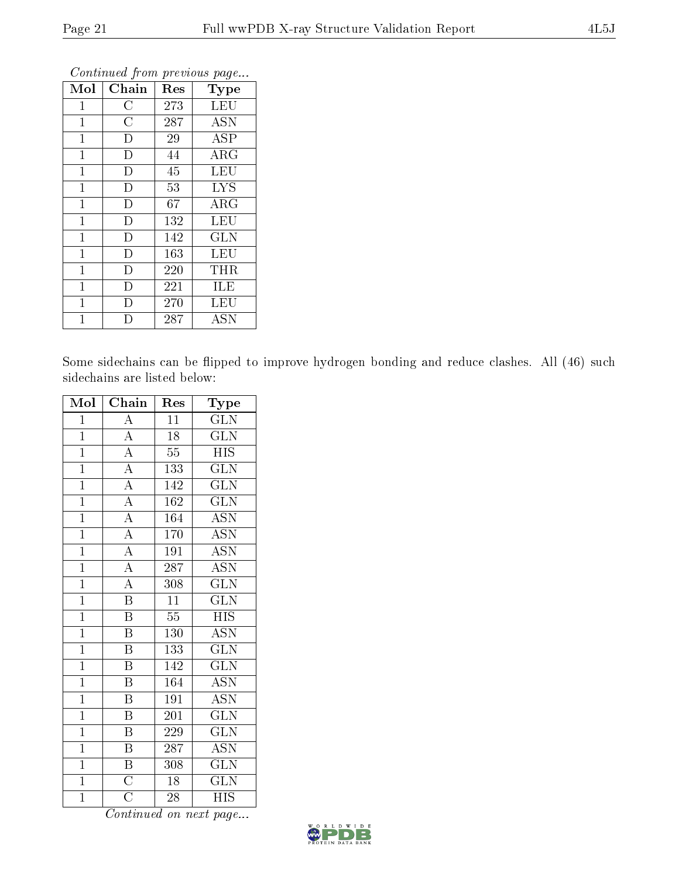| Mol            | Chain          | Res | Type       |
|----------------|----------------|-----|------------|
| $\mathbf 1$    | $\rm{C}$       | 273 | <b>LEU</b> |
| $\mathbf{1}$   | $\overline{C}$ | 287 | <b>ASN</b> |
| $\mathbf{1}$   | $\mathbf D$    | 29  | ASP        |
| $\mathbf 1$    | D              | 44  | $\rm{ARG}$ |
| $\mathbf 1$    | D              | 45  | <b>LEU</b> |
| 1              | D              | 53  | <b>LYS</b> |
| $\mathbf{1}$   | $\overline{D}$ | 67  | ARG        |
| $\mathbf{1}$   | D              | 132 | LEU        |
| $\mathbf{1}$   | D              | 142 | <b>GLN</b> |
| $\mathbf{1}$   | D              | 163 | LEU        |
| $\overline{1}$ | D              | 220 | THR        |
| $\overline{1}$ | D              | 221 | ILE        |
| $\mathbf{1}$   | Ð              | 270 | LEU        |
| $\mathbf 1$    | Đ              | 287 | <b>ASN</b> |

Some sidechains can be flipped to improve hydrogen bonding and reduce clashes. All (46) such sidechains are listed below:

| Mol            | Chain                   | Res             | Type                    |
|----------------|-------------------------|-----------------|-------------------------|
| $\overline{1}$ | $\overline{A}$          | 11              | <b>GLN</b>              |
| $\overline{1}$ | $\overline{A}$          | $18\,$          | GLN                     |
| $\overline{1}$ | $\overline{A}$          | $\overline{55}$ | <b>HIS</b>              |
| $\overline{1}$ | $\overline{A}$          | 133             | GLN                     |
| $\overline{1}$ | $\overline{A}$          | 142             | $\overline{\text{GLN}}$ |
| $\overline{1}$ | $\overline{A}$          | 162             | $\overline{\text{GLN}}$ |
| $\overline{1}$ | $\overline{A}$          | 164             | $\overline{\text{ASN}}$ |
| $\overline{1}$ | $\overline{A}$          | 170             | <b>ASN</b>              |
| $\overline{1}$ | $\overline{A}$          | 191             | $\overline{\text{ASN}}$ |
| $\overline{1}$ | $\overline{A}$          | 287             | <b>ASN</b>              |
| $\overline{1}$ | $\overline{A}$          | 308             | <b>GLN</b>              |
| $\overline{1}$ | $\overline{\mathrm{B}}$ | $\overline{11}$ | $\overline{\text{GLN}}$ |
| $\overline{1}$ | $\overline{\mathrm{B}}$ | $\overline{55}$ | <b>HIS</b>              |
| $\overline{1}$ | $\, {\bf B}$            | 130             | <b>ASN</b>              |
| $\overline{1}$ | $\overline{\mathrm{B}}$ | 133             | $\overline{\text{GLN}}$ |
| $\overline{1}$ | $\overline{B}$          | 142             | GLN                     |
| $\overline{1}$ | $\overline{\mathrm{B}}$ | 164             | $\overline{\text{ASN}}$ |
| $\overline{1}$ | $\, {\bf B}$            | 191             | <b>ASN</b>              |
| $\overline{1}$ | $\, {\bf B}$            | 201             | <b>GLN</b>              |
| $\overline{1}$ | $\overline{\mathbf{B}}$ | 229             | $\overline{\text{GLN}}$ |
| $\overline{1}$ | $\overline{\mathrm{B}}$ | 287             | $\overline{\text{ASN}}$ |
| $\overline{1}$ | $\overline{\mathrm{B}}$ | 308             | GLN                     |
| $\overline{1}$ | $\overline{\text{C}}$   | 18              | <b>GLN</b>              |
| $\overline{1}$ | $\overline{\rm C}$      | $\overline{28}$ | <b>HIS</b>              |

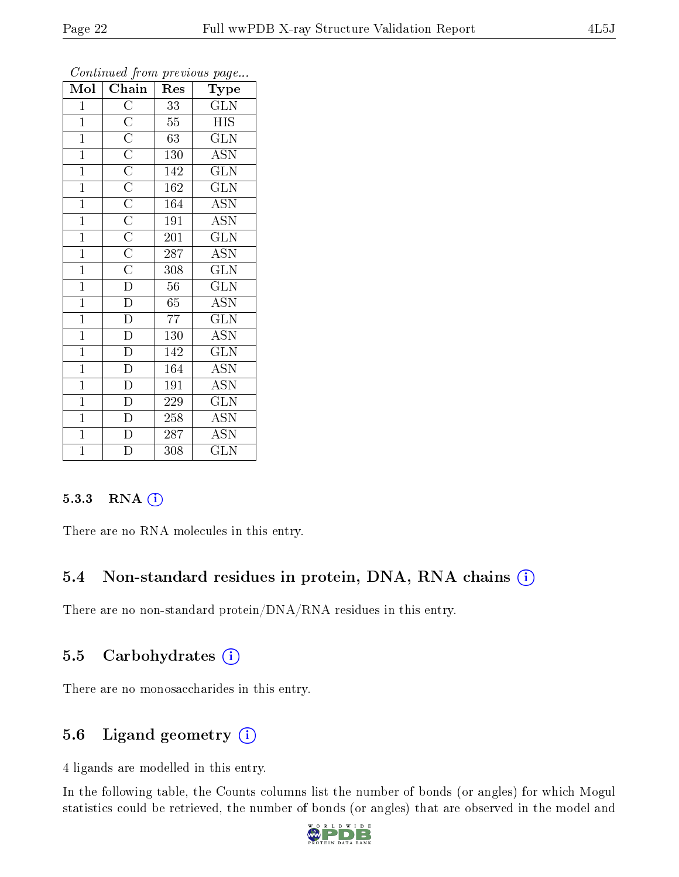| $\overline{\text{Mol}}$ | $Ch\overline{ain}$                                                                                                                                                                                                                                                                                                  | Res              | $\overline{\phantom{a}}$<br>Type |
|-------------------------|---------------------------------------------------------------------------------------------------------------------------------------------------------------------------------------------------------------------------------------------------------------------------------------------------------------------|------------------|----------------------------------|
| $\mathbf{1}$            |                                                                                                                                                                                                                                                                                                                     | 33               | GLN                              |
| $\mathbf{1}$            | $\frac{\overline{C}}{\overline{C}} \frac{\overline{C}}{\overline{C}} \frac{\overline{C}}{\overline{C}} \frac{\overline{C}}{\overline{C}} \frac{\overline{C}}{\overline{C}} \frac{\overline{C}}{\overline{C}} \frac{\overline{C}}{\overline{C}} \frac{\overline{C}}{\overline{D}} \frac{\overline{D}}{\overline{D}}$ | 55               | <b>HIS</b>                       |
| $\overline{1}$          |                                                                                                                                                                                                                                                                                                                     | $\overline{63}$  | $\overline{\text{GLN}}$          |
| $\overline{1}$          |                                                                                                                                                                                                                                                                                                                     | 130              | <b>ASN</b>                       |
| $\overline{1}$          |                                                                                                                                                                                                                                                                                                                     | 142              | $\overline{\text{GLN}}$          |
| $\mathbf{1}$            |                                                                                                                                                                                                                                                                                                                     | 162              | $\overline{\text{GLN}}$          |
| $\overline{1}$          |                                                                                                                                                                                                                                                                                                                     | 164              | <b>ASN</b>                       |
| $\overline{1}$          |                                                                                                                                                                                                                                                                                                                     | 191              | <b>ASN</b>                       |
| $\overline{1}$          |                                                                                                                                                                                                                                                                                                                     | 201              | GLN                              |
| $\mathbf{1}$            |                                                                                                                                                                                                                                                                                                                     | 287              | $\overline{\mathrm{ASN}}$        |
| $\mathbf{1}$            |                                                                                                                                                                                                                                                                                                                     | 308              | $\overline{\text{GLN}}$          |
| $\mathbf{1}$            |                                                                                                                                                                                                                                                                                                                     | 56               | $\overline{\text{GLN}}$          |
| $\overline{1}$          |                                                                                                                                                                                                                                                                                                                     | $65\,$           | <b>ASN</b>                       |
| $\mathbf{1}$            | $\overline{D}$                                                                                                                                                                                                                                                                                                      | 77               | $\overline{\text{GLN}}$          |
| $\mathbf{1}$            | $\overline{D}$                                                                                                                                                                                                                                                                                                      | 130              | $\overline{\mathrm{ASN}}$        |
| $\overline{1}$          | $\overline{D}$                                                                                                                                                                                                                                                                                                      | 142              | $\overline{\text{GLN}}$          |
| $\overline{1}$          | $\overline{D}$                                                                                                                                                                                                                                                                                                      | 164              | $\overline{\text{ASN}}$          |
| $\overline{1}$          | $\overline{\rm D}$                                                                                                                                                                                                                                                                                                  | 191              | <b>ASN</b>                       |
| $\mathbf{1}$            | $\overline{D}$                                                                                                                                                                                                                                                                                                      | 229              | $\overline{\text{GLN}}$          |
| $\overline{1}$          | $\overline{D}$                                                                                                                                                                                                                                                                                                      | 258              | <b>ASN</b>                       |
| $\overline{1}$          | $\frac{\overline{D}}{\overline{D}}$                                                                                                                                                                                                                                                                                 | 287              | <b>ASN</b>                       |
| $\overline{1}$          |                                                                                                                                                                                                                                                                                                                     | $\overline{308}$ | $\widetilde{{\rm GLN}}$          |

#### 5.3.3 RNA [O](https://www.wwpdb.org/validation/2017/XrayValidationReportHelp#rna)i

There are no RNA molecules in this entry.

#### 5.4 Non-standard residues in protein, DNA, RNA chains (i)

There are no non-standard protein/DNA/RNA residues in this entry.

#### 5.5 Carbohydrates (i)

There are no monosaccharides in this entry.

#### 5.6 Ligand geometry (i)

4 ligands are modelled in this entry.

In the following table, the Counts columns list the number of bonds (or angles) for which Mogul statistics could be retrieved, the number of bonds (or angles) that are observed in the model and

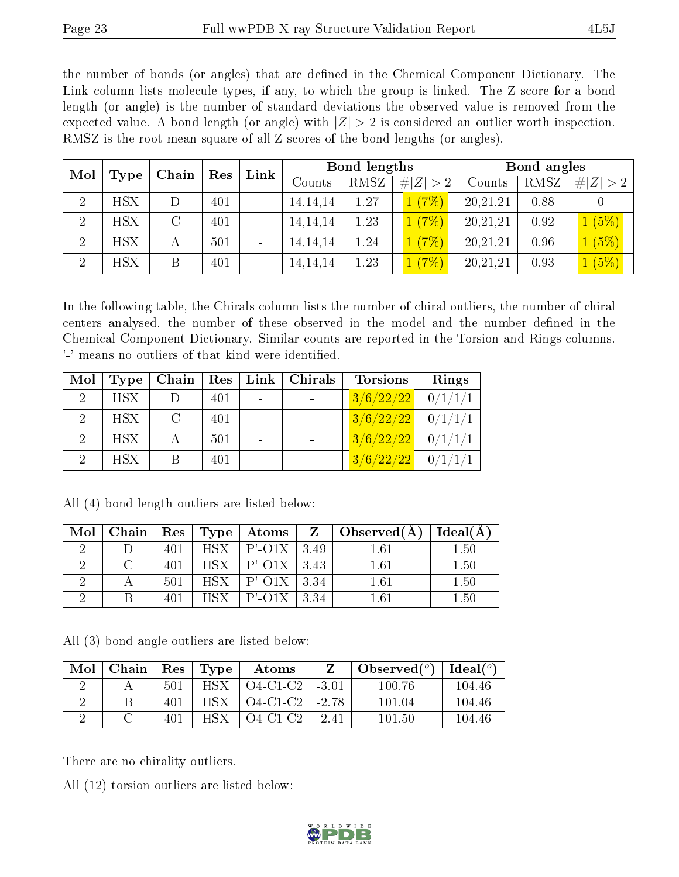the number of bonds (or angles) that are defined in the Chemical Component Dictionary. The Link column lists molecule types, if any, to which the group is linked. The Z score for a bond length (or angle) is the number of standard deviations the observed value is removed from the expected value. A bond length (or angle) with  $|Z| > 2$  is considered an outlier worth inspection. RMSZ is the root-mean-square of all Z scores of the bond lengths (or angles).

| Mol            |            | Chain   | Bond lengths<br>Link<br>Res |                          |            | Bond angles |                      |          |      |             |
|----------------|------------|---------|-----------------------------|--------------------------|------------|-------------|----------------------|----------|------|-------------|
|                | Type       |         |                             |                          | Counts     | RMSZ        | # $ Z  > 2$          | Counts   | RMSZ | # $ Z  > 2$ |
| $\overline{2}$ | <b>HSX</b> |         | 401                         |                          | 14, 14, 14 | 1.27        | (7%)                 | 20,21,21 | 0.88 |             |
| $\overline{2}$ | <b>HSX</b> | $\rm C$ | 401                         |                          | 14, 14, 14 | 1.23        | (7%)                 | 20,21,21 | 0.92 | 1(5%)       |
| $\overline{2}$ | <b>HSX</b> |         | 501                         |                          | 14, 14, 14 | 1.24        | (7%)<br>$\mathbf{1}$ | 20,21,21 | 0.96 | 1(5%)       |
| $\overline{2}$ | <b>HSX</b> | B       | 401                         | $\overline{\phantom{a}}$ | 14, 14, 14 | 1.23        | (7%)                 | 20,21,21 | 0.93 | 1(5%)       |

In the following table, the Chirals column lists the number of chiral outliers, the number of chiral centers analysed, the number of these observed in the model and the number defined in the Chemical Component Dictionary. Similar counts are reported in the Torsion and Rings columns. '-' means no outliers of that kind were identified.

| Mol                         | Type       | Chain |     | $\operatorname{Res} \mid \operatorname{Link} \mid$ | Chirals | <b>Torsions</b> | Rings   |
|-----------------------------|------------|-------|-----|----------------------------------------------------|---------|-----------------|---------|
| $\mathcal{D}$               | <b>HSX</b> |       | 401 |                                                    |         | 3/6/22/22       | 0/1/1/1 |
| $\mathcal{D}$               | <b>HSX</b> | C     | 401 |                                                    |         | 3/6/22/22       | 0/1/1/1 |
| $\mathcal{D}_{\mathcal{L}}$ | <b>HSX</b> |       | 501 |                                                    |         | 3/6/22/22       | 0/1/1/1 |
| 2                           | <b>HSX</b> | B     | 401 |                                                    |         | 3/6/22/22       |         |

| Mol | Chain |     |            | $\mid$ $\text{Res} \mid \text{Type} \mid \text{Atoms}$ |      | $\vert$ Observed(A) | Ideal(A) |
|-----|-------|-----|------------|--------------------------------------------------------|------|---------------------|----------|
|     |       | 401 |            | $HSX$   $P'$ -O1X   3.49                               |      | 1.61                | 1.50     |
|     |       | 401 | <b>HSX</b> | $ P'$ -O1X $ 3.43$                                     |      | 1.61                | 1.50     |
|     |       | 501 | HSY        | $ P'$ -O1X   3.34                                      |      | 1.61                | 1.50     |
|     |       | 401 | HSY        | P'-01X                                                 | 3.34 | 1 61                | 1.50     |

All (4) bond length outliers are listed below:

All (3) bond angle outliers are listed below:

| Mol | ∣ Chain |     | $\text{Res}$   $\text{Type}$ | Atoms                      | Z | Observed $(°)$ | Ideal $({}^o)$ |
|-----|---------|-----|------------------------------|----------------------------|---|----------------|----------------|
|     |         | 501 | HSX.                         | $\pm$ O4-C1-C2 $\pm$ -3.01 |   | 100 76         | 104.46         |
|     |         |     | HSX .                        | $\sqrt{04-C1-C2}$ - 2.78   |   | 101 04         | 104.46         |
|     |         |     | HSX.                         | O4-C1-C2   -2.41           |   | 101.50         | 104.46         |

There are no chirality outliers.

All (12) torsion outliers are listed below:

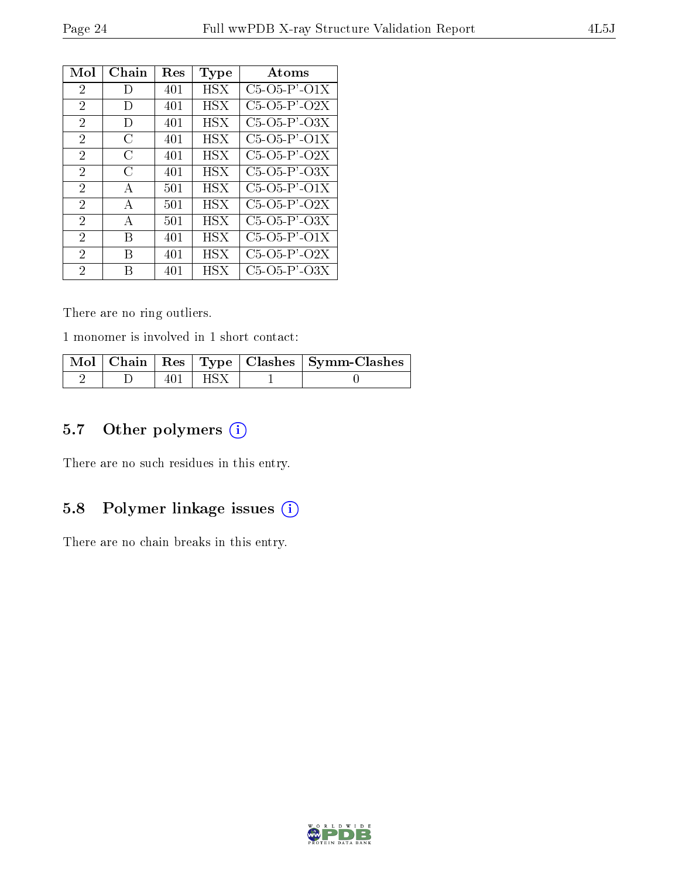| Mol            | Chain | <b>Res</b> | Type       | Atoms                |
|----------------|-------|------------|------------|----------------------|
| 2              | D     | 401        | HSX.       | $C5 - 05 - P' - 01X$ |
| $\overline{2}$ | D     | 401        | HSX.       | $C5-O5-P'$ - $O2X$   |
| $\overline{2}$ | D     | 401        | HSX        | $C5-O5-P'-O3X$       |
| 2              | C     | 401        | HSX        | $C5-O5-P'-O1X$       |
| $\overline{2}$ | С     | 401        | HSX        | $C5-O5-P'$ - $O2X$   |
| 2              | C     | 401        | <b>HSX</b> | $C5-O5-P'$ - $O3X$   |
| 2              | A     | 501        | HSX        | $C5-O5-P'$ - $O1X$   |
| 2              | A     | 501        | HSX.       | $C5-O5-P'$ - $O2X$   |
| 2              | А     | 501        | HSX        | $C5-O5-P2-O3X$       |
| 2              | В     | 401        | HSX        | $C5-O5-P'-O1X$       |
| $\overline{2}$ | В     | 401        | HSX        | $C5-O5-P'$ - $O2X$   |
| 2              | В     | 401        | <b>HSX</b> | $C5-O5-P2-O3X$       |

There are no ring outliers.

1 monomer is involved in 1 short contact:

|  |           | $\mid$ Mol $\mid$ Chain $\mid$ Res $\mid$ Type $\mid$ Clashes $\mid$ Symm-Clashes $\mid$ |
|--|-----------|------------------------------------------------------------------------------------------|
|  | 401   HSX |                                                                                          |

## 5.7 [O](https://www.wwpdb.org/validation/2017/XrayValidationReportHelp#nonstandard_residues_and_ligands)ther polymers (i)

There are no such residues in this entry.

## 5.8 Polymer linkage issues (i)

There are no chain breaks in this entry.

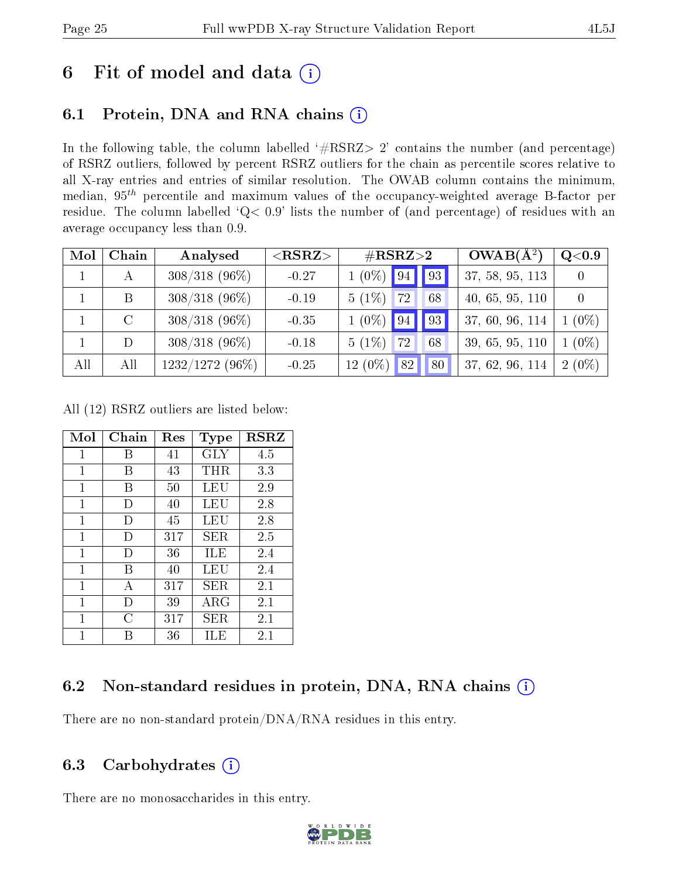# 6 Fit of model and data  $(i)$

## 6.1 Protein, DNA and RNA chains  $(i)$

In the following table, the column labelled  $#RSRZ> 2'$  contains the number (and percentage) of RSRZ outliers, followed by percent RSRZ outliers for the chain as percentile scores relative to all X-ray entries and entries of similar resolution. The OWAB column contains the minimum, median,  $95<sup>th</sup>$  percentile and maximum values of the occupancy-weighted average B-factor per residue. The column labelled ' $Q< 0.9$ ' lists the number of (and percentage) of residues with an average occupancy less than 0.9.

| Mol | Chain   | Analysed         | ${ <\hspace{-1.5pt}{\mathrm{RSRZ}} \hspace{-1.5pt}>}$ | $\#\text{RSRZ}{>}2$                       | $OWAB(A^2)$     | Q <sub>0.9</sub> |
|-----|---------|------------------|-------------------------------------------------------|-------------------------------------------|-----------------|------------------|
|     | А       | $308/318$ (96\%) | $-0.27$                                               | $1(0\%)$ 94 93                            | 37, 58, 95, 113 |                  |
|     | B       | $308/318$ (96\%) | $-0.19$                                               | $5(1\%)$<br>72<br>68                      | 40, 65, 95, 110 | $\Omega$         |
|     | $\rm C$ | $308/318$ (96\%) | $-0.35$                                               | $1(0\%)$<br>$\vert$ 93<br> 94             | 37, 60, 96, 114 | $1(0\%)$         |
|     | D       | $308/318$ (96\%) | $-0.18$                                               | $5(1\%)$<br>72<br>68                      | 39, 65, 95, 110 | $1(0\%)$         |
| All | All     | 1232/1272 (96%)  | $-0.25$                                               | $12(0\%)$<br>$\vert 82 \vert \vert$<br>80 | 37, 62, 96, 114 | $2(0\%)$         |

All (12) RSRZ outliers are listed below:

| Mol          | $Chain$ | Res | Type        | <b>RSRZ</b> |
|--------------|---------|-----|-------------|-------------|
| $\mathbf{1}$ | В       | 41  | <b>GLY</b>  | 4.5         |
| 1            | В       | 43  | THR         | 3.3         |
| 1            | В       | 50  | LEU         | 2.9         |
| $\mathbf{1}$ | Ð       | 40  | LEU         | 2.8         |
| 1            | I)      | 45  | LEU         | 2.8         |
| $\mathbf{1}$ | D       | 317 | SER.        | 2.5         |
| 1            | D       | 36  | ILE         | 2.4         |
| $\mathbf{1}$ | В       | 40  | LEU         | 2.4         |
| 1            | А       | 317 | SER         | 2.1         |
| 1            | D       | 39  | ${\rm ARG}$ | 2.1         |
| 1            | C       | 317 | SER         | 2.1         |
| 1            | В       | 36  | ILE         | 2.1         |

## 6.2 Non-standard residues in protein, DNA, RNA chains  $(i)$

There are no non-standard protein/DNA/RNA residues in this entry.

#### 6.3 Carbohydrates  $(i)$

There are no monosaccharides in this entry.